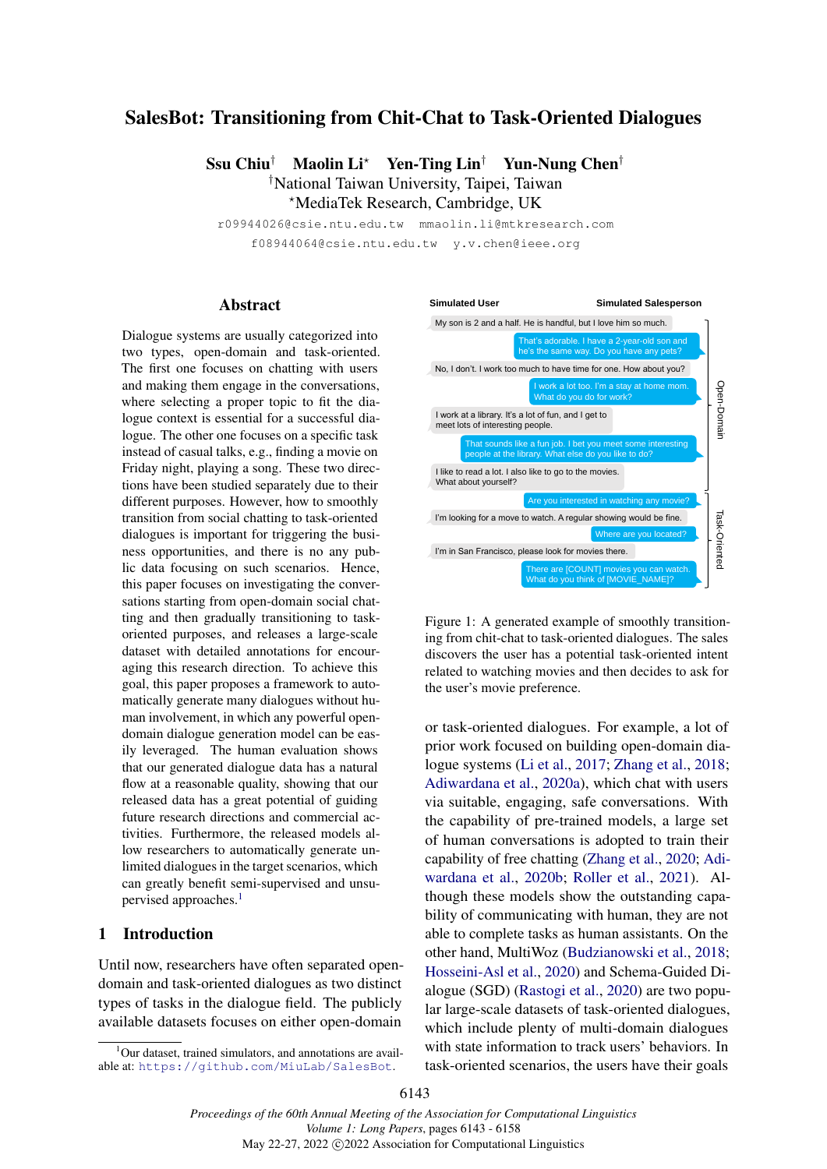## SalesBot: Transitioning from Chit-Chat to Task-Oriented Dialogues

Ssu Chiu<sup>†</sup> Maolin Li<sup>\*</sup> Yen-Ting Lin<sup>†</sup> Yun-Nung Chen<sup>†</sup> †National Taiwan University, Taipei, Taiwan ?MediaTek Research, Cambridge, UK

r09944026@csie.ntu.edu.tw mmaolin.li@mtkresearch.com f08944064@csie.ntu.edu.tw y.v.chen@ieee.org

#### Abstract

Dialogue systems are usually categorized into two types, open-domain and task-oriented. The first one focuses on chatting with users and making them engage in the conversations, where selecting a proper topic to fit the dialogue context is essential for a successful dialogue. The other one focuses on a specific task instead of casual talks, e.g., finding a movie on Friday night, playing a song. These two directions have been studied separately due to their different purposes. However, how to smoothly transition from social chatting to task-oriented dialogues is important for triggering the business opportunities, and there is no any public data focusing on such scenarios. Hence, this paper focuses on investigating the conversations starting from open-domain social chatting and then gradually transitioning to taskoriented purposes, and releases a large-scale dataset with detailed annotations for encouraging this research direction. To achieve this goal, this paper proposes a framework to automatically generate many dialogues without human involvement, in which any powerful opendomain dialogue generation model can be easily leveraged. The human evaluation shows that our generated dialogue data has a natural flow at a reasonable quality, showing that our released data has a great potential of guiding future research directions and commercial activities. Furthermore, the released models allow researchers to automatically generate unlimited dialogues in the target scenarios, which can greatly benefit semi-supervised and unsu-pervised approaches.<sup>[1](#page-0-0)</sup>

## 1 Introduction

Until now, researchers have often separated opendomain and task-oriented dialogues as two distinct types of tasks in the dialogue field. The publicly available datasets focuses on either open-domain

<span id="page-0-1"></span>

Figure 1: A generated example of smoothly transitioning from chit-chat to task-oriented dialogues. The sales discovers the user has a potential task-oriented intent related to watching movies and then decides to ask for the user's movie preference.

or task-oriented dialogues. For example, a lot of prior work focused on building open-domain dialogue systems [\(Li et al.,](#page-9-0) [2017;](#page-9-0) [Zhang et al.,](#page-10-0) [2018;](#page-10-0) [Adiwardana et al.,](#page-9-1) [2020a\)](#page-9-1), which chat with users via suitable, engaging, safe conversations. With the capability of pre-trained models, a large set of human conversations is adopted to train their capability of free chatting [\(Zhang et al.,](#page-10-1) [2020;](#page-10-1) [Adi](#page-9-2)[wardana et al.,](#page-9-2) [2020b;](#page-9-2) [Roller et al.,](#page-9-3) [2021\)](#page-9-3). Although these models show the outstanding capability of communicating with human, they are not able to complete tasks as human assistants. On the other hand, MultiWoz [\(Budzianowski et al.,](#page-9-4) [2018;](#page-9-4) [Hosseini-Asl et al.,](#page-9-5) [2020\)](#page-9-5) and Schema-Guided Dialogue (SGD) [\(Rastogi et al.,](#page-9-6) [2020\)](#page-9-6) are two popular large-scale datasets of task-oriented dialogues, which include plenty of multi-domain dialogues with state information to track users' behaviors. In task-oriented scenarios, the users have their goals

<span id="page-0-0"></span> $1$ Our dataset, trained simulators, and annotations are available at: <https://github.com/MiuLab/SalesBot>.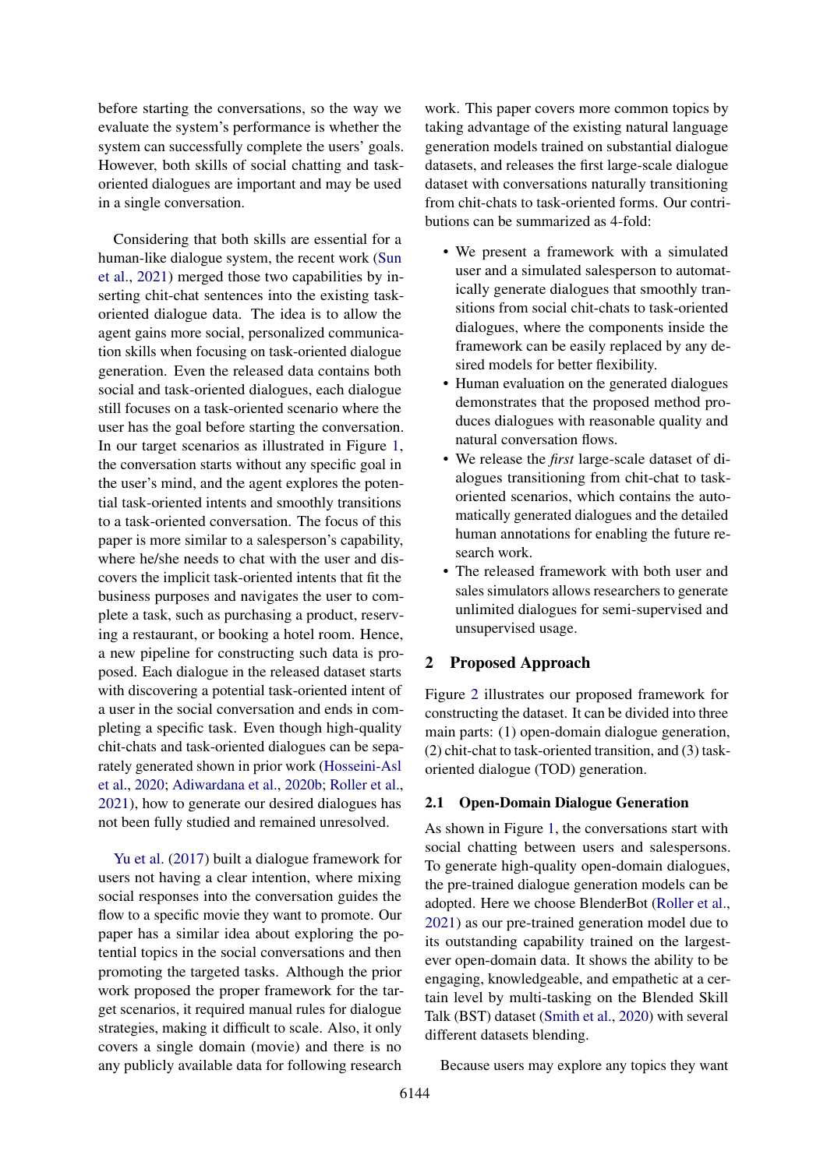before starting the conversations, so the way we evaluate the system's performance is whether the system can successfully complete the users' goals. However, both skills of social chatting and taskoriented dialogues are important and may be used in a single conversation.

Considering that both skills are essential for a human-like dialogue system, the recent work [\(Sun](#page-10-2) [et al.,](#page-10-2) [2021\)](#page-10-2) merged those two capabilities by inserting chit-chat sentences into the existing taskoriented dialogue data. The idea is to allow the agent gains more social, personalized communication skills when focusing on task-oriented dialogue generation. Even the released data contains both social and task-oriented dialogues, each dialogue still focuses on a task-oriented scenario where the user has the goal before starting the conversation. In our target scenarios as illustrated in Figure [1,](#page-0-1) the conversation starts without any specific goal in the user's mind, and the agent explores the potential task-oriented intents and smoothly transitions to a task-oriented conversation. The focus of this paper is more similar to a salesperson's capability, where he/she needs to chat with the user and discovers the implicit task-oriented intents that fit the business purposes and navigates the user to complete a task, such as purchasing a product, reserving a restaurant, or booking a hotel room. Hence, a new pipeline for constructing such data is proposed. Each dialogue in the released dataset starts with discovering a potential task-oriented intent of a user in the social conversation and ends in completing a specific task. Even though high-quality chit-chats and task-oriented dialogues can be separately generated shown in prior work [\(Hosseini-Asl](#page-9-5) [et al.,](#page-9-5) [2020;](#page-9-5) [Adiwardana et al.,](#page-9-2) [2020b;](#page-9-2) [Roller et al.,](#page-9-3) [2021\)](#page-9-3), how to generate our desired dialogues has not been fully studied and remained unresolved.

[Yu et al.](#page-10-3) [\(2017\)](#page-10-3) built a dialogue framework for users not having a clear intention, where mixing social responses into the conversation guides the flow to a specific movie they want to promote. Our paper has a similar idea about exploring the potential topics in the social conversations and then promoting the targeted tasks. Although the prior work proposed the proper framework for the target scenarios, it required manual rules for dialogue strategies, making it difficult to scale. Also, it only covers a single domain (movie) and there is no any publicly available data for following research

work. This paper covers more common topics by taking advantage of the existing natural language generation models trained on substantial dialogue datasets, and releases the first large-scale dialogue dataset with conversations naturally transitioning from chit-chats to task-oriented forms. Our contributions can be summarized as 4-fold:

- We present a framework with a simulated user and a simulated salesperson to automatically generate dialogues that smoothly transitions from social chit-chats to task-oriented dialogues, where the components inside the framework can be easily replaced by any desired models for better flexibility.
- Human evaluation on the generated dialogues demonstrates that the proposed method produces dialogues with reasonable quality and natural conversation flows.
- We release the *first* large-scale dataset of dialogues transitioning from chit-chat to taskoriented scenarios, which contains the automatically generated dialogues and the detailed human annotations for enabling the future research work.
- The released framework with both user and sales simulators allows researchers to generate unlimited dialogues for semi-supervised and unsupervised usage.

#### 2 Proposed Approach

Figure [2](#page-2-0) illustrates our proposed framework for constructing the dataset. It can be divided into three main parts: (1) open-domain dialogue generation, (2) chit-chat to task-oriented transition, and (3) taskoriented dialogue (TOD) generation.

#### 2.1 Open-Domain Dialogue Generation

As shown in Figure [1,](#page-0-1) the conversations start with social chatting between users and salespersons. To generate high-quality open-domain dialogues, the pre-trained dialogue generation models can be adopted. Here we choose BlenderBot [\(Roller et al.,](#page-9-3) [2021\)](#page-9-3) as our pre-trained generation model due to its outstanding capability trained on the largestever open-domain data. It shows the ability to be engaging, knowledgeable, and empathetic at a certain level by multi-tasking on the Blended Skill Talk (BST) dataset [\(Smith et al.,](#page-10-4) [2020\)](#page-10-4) with several different datasets blending.

Because users may explore any topics they want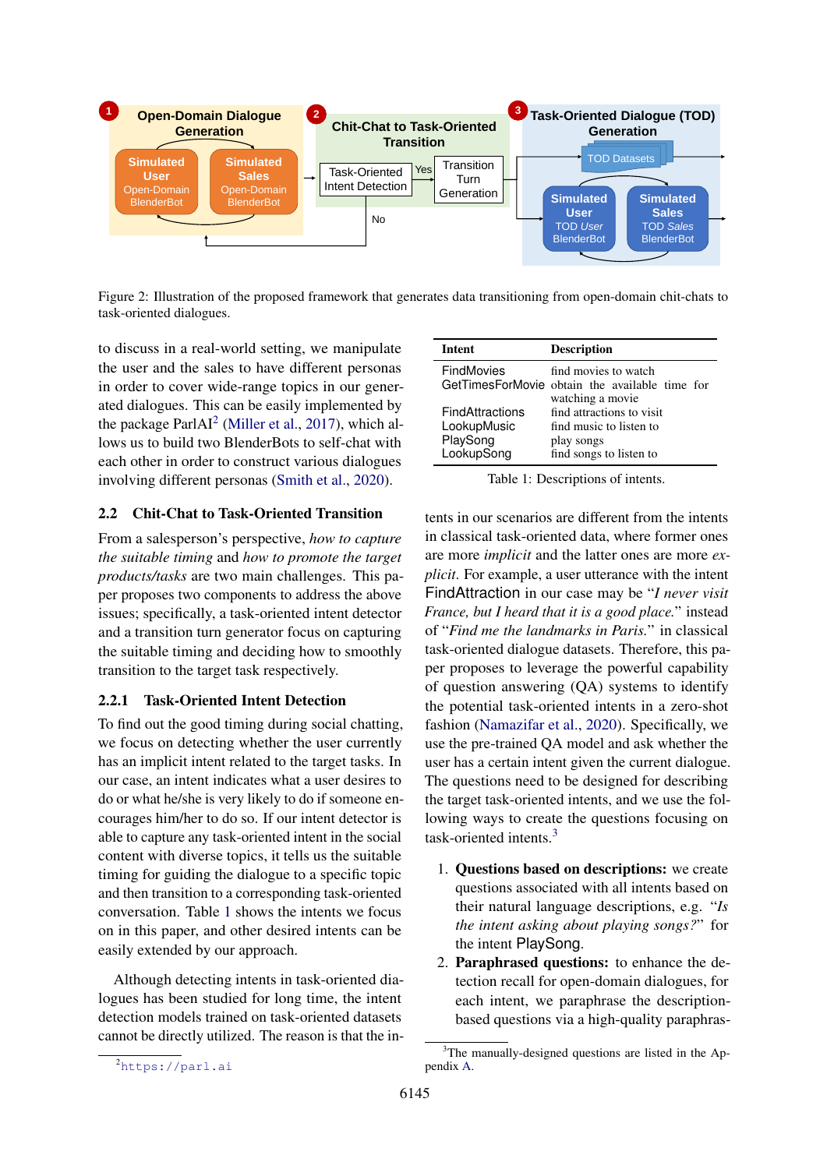<span id="page-2-0"></span>

Figure 2: Illustration of the proposed framework that generates data transitioning from open-domain chit-chats to task-oriented dialogues.

to discuss in a real-world setting, we manipulate the user and the sales to have different personas in order to cover wide-range topics in our generated dialogues. This can be easily implemented by the package ParlAI<sup>[2](#page-2-1)</sup> [\(Miller et al.,](#page-9-7) [2017\)](#page-9-7), which allows us to build two BlenderBots to self-chat with each other in order to construct various dialogues involving different personas [\(Smith et al.,](#page-10-4) [2020\)](#page-10-4).

## 2.2 Chit-Chat to Task-Oriented Transition

From a salesperson's perspective, *how to capture the suitable timing* and *how to promote the target products/tasks* are two main challenges. This paper proposes two components to address the above issues; specifically, a task-oriented intent detector and a transition turn generator focus on capturing the suitable timing and deciding how to smoothly transition to the target task respectively.

#### 2.2.1 Task-Oriented Intent Detection

To find out the good timing during social chatting, we focus on detecting whether the user currently has an implicit intent related to the target tasks. In our case, an intent indicates what a user desires to do or what he/she is very likely to do if someone encourages him/her to do so. If our intent detector is able to capture any task-oriented intent in the social content with diverse topics, it tells us the suitable timing for guiding the dialogue to a specific topic and then transition to a corresponding task-oriented conversation. Table [1](#page-2-2) shows the intents we focus on in this paper, and other desired intents can be easily extended by our approach.

<span id="page-2-1"></span>Although detecting intents in task-oriented dialogues has been studied for long time, the intent detection models trained on task-oriented datasets cannot be directly utilized. The reason is that the in-

<span id="page-2-2"></span>

| <b>Intent</b>                                                   | <b>Description</b>                                                                            |
|-----------------------------------------------------------------|-----------------------------------------------------------------------------------------------|
| <b>FindMovies</b>                                               | find movies to watch<br>GetTimesForMovie obtain the available time for<br>watching a movie    |
| <b>FindAttractions</b><br>LookupMusic<br>PlaySong<br>LookupSong | find attractions to visit<br>find music to listen to<br>play songs<br>find songs to listen to |

Table 1: Descriptions of intents.

tents in our scenarios are different from the intents in classical task-oriented data, where former ones are more *implicit* and the latter ones are more *explicit*. For example, a user utterance with the intent FindAttraction in our case may be "*I never visit France, but I heard that it is a good place.*" instead of "*Find me the landmarks in Paris.*" in classical task-oriented dialogue datasets. Therefore, this paper proposes to leverage the powerful capability of question answering (QA) systems to identify the potential task-oriented intents in a zero-shot fashion [\(Namazifar et al.,](#page-9-8) [2020\)](#page-9-8). Specifically, we use the pre-trained QA model and ask whether the user has a certain intent given the current dialogue. The questions need to be designed for describing the target task-oriented intents, and we use the following ways to create the questions focusing on task-oriented intents.[3](#page-2-3)

- 1. Questions based on descriptions: we create questions associated with all intents based on their natural language descriptions, e.g. "*Is the intent asking about playing songs?*" for the intent PlaySong.
- 2. Paraphrased questions: to enhance the detection recall for open-domain dialogues, for each intent, we paraphrase the descriptionbased questions via a high-quality paraphras-

<span id="page-2-3"></span><sup>&</sup>lt;sup>3</sup>The manually-designed questions are listed in the Appendix [A.](#page-10-5)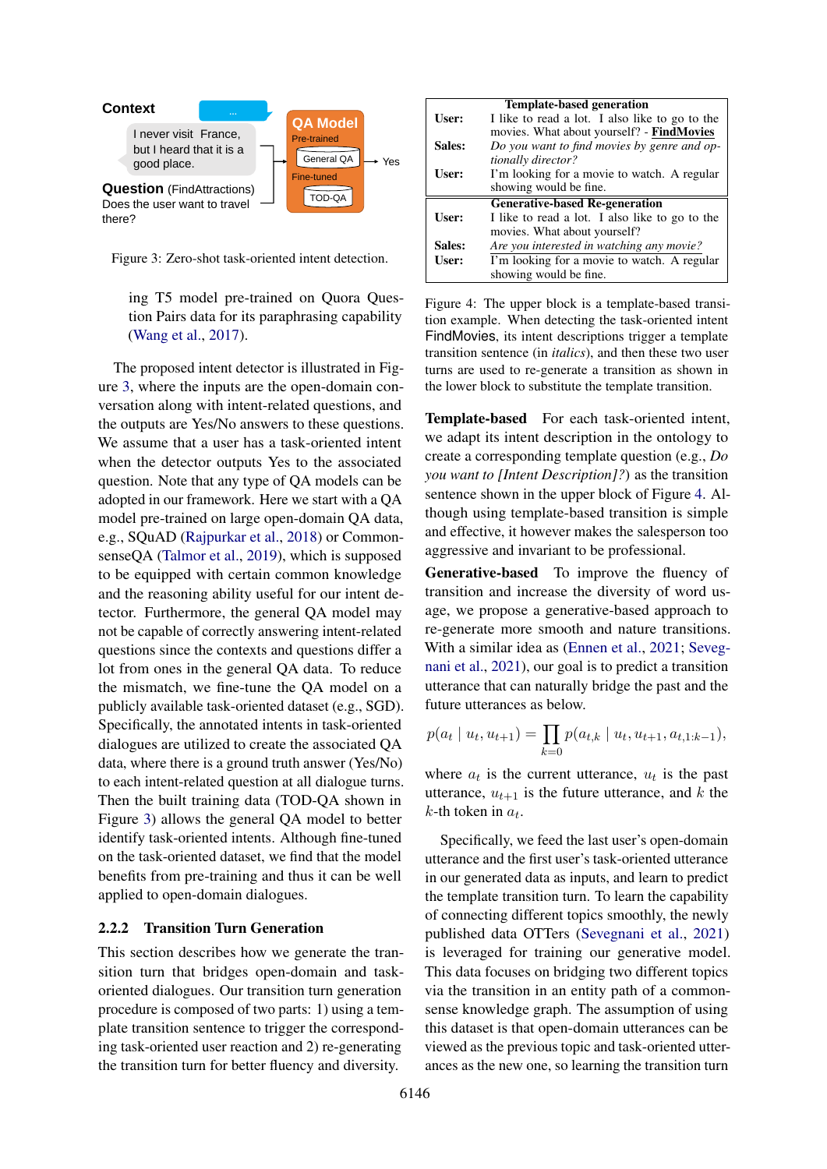<span id="page-3-0"></span>

Figure 3: Zero-shot task-oriented intent detection.

ing T5 model pre-trained on Quora Question Pairs data for its paraphrasing capability [\(Wang et al.,](#page-10-6) [2017\)](#page-10-6).

The proposed intent detector is illustrated in Figure [3,](#page-3-0) where the inputs are the open-domain conversation along with intent-related questions, and the outputs are Yes/No answers to these questions. We assume that a user has a task-oriented intent when the detector outputs Yes to the associated question. Note that any type of QA models can be adopted in our framework. Here we start with a QA model pre-trained on large open-domain QA data, e.g., SQuAD [\(Rajpurkar et al.,](#page-9-9) [2018\)](#page-9-9) or CommonsenseQA [\(Talmor et al.,](#page-10-7) [2019\)](#page-10-7), which is supposed to be equipped with certain common knowledge and the reasoning ability useful for our intent detector. Furthermore, the general QA model may not be capable of correctly answering intent-related questions since the contexts and questions differ a lot from ones in the general QA data. To reduce the mismatch, we fine-tune the QA model on a publicly available task-oriented dataset (e.g., SGD). Specifically, the annotated intents in task-oriented dialogues are utilized to create the associated QA data, where there is a ground truth answer (Yes/No) to each intent-related question at all dialogue turns. Then the built training data (TOD-QA shown in Figure [3\)](#page-3-0) allows the general QA model to better identify task-oriented intents. Although fine-tuned on the task-oriented dataset, we find that the model benefits from pre-training and thus it can be well applied to open-domain dialogues.

#### 2.2.2 Transition Turn Generation

This section describes how we generate the transition turn that bridges open-domain and taskoriented dialogues. Our transition turn generation procedure is composed of two parts: 1) using a template transition sentence to trigger the corresponding task-oriented user reaction and 2) re-generating the transition turn for better fluency and diversity.

<span id="page-3-1"></span>

|        | <b>Template-based generation</b>               |  |
|--------|------------------------------------------------|--|
| User:  | I like to read a lot. I also like to go to the |  |
|        | movies. What about yourself? - FindMovies      |  |
| Sales: | Do you want to find movies by genre and op-    |  |
|        | tionally director?                             |  |
| User:  | I'm looking for a movie to watch. A regular    |  |
|        | showing would be fine.                         |  |
|        |                                                |  |
|        | <b>Generative-based Re-generation</b>          |  |
| User:  | I like to read a lot. I also like to go to the |  |
|        | movies. What about yourself?                   |  |
| Sales: | Are you interested in watching any movie?      |  |
| User:  | I'm looking for a movie to watch. A regular    |  |

Figure 4: The upper block is a template-based transition example. When detecting the task-oriented intent FindMovies, its intent descriptions trigger a template transition sentence (in *italics*), and then these two user turns are used to re-generate a transition as shown in the lower block to substitute the template transition.

Template-based For each task-oriented intent, we adapt its intent description in the ontology to create a corresponding template question (e.g., *Do you want to [Intent Description]?*) as the transition sentence shown in the upper block of Figure [4.](#page-3-1) Although using template-based transition is simple and effective, it however makes the salesperson too aggressive and invariant to be professional.

Generative-based To improve the fluency of transition and increase the diversity of word usage, we propose a generative-based approach to re-generate more smooth and nature transitions. With a similar idea as [\(Ennen et al.,](#page-9-10) [2021;](#page-9-10) [Seveg](#page-9-11)[nani et al.,](#page-9-11) [2021\)](#page-9-11), our goal is to predict a transition utterance that can naturally bridge the past and the future utterances as below.

$$
p(a_t | u_t, u_{t+1}) = \prod_{k=0} p(a_{t,k} | u_t, u_{t+1}, a_{t,1:k-1}),
$$

where  $a_t$  is the current utterance,  $u_t$  is the past utterance,  $u_{t+1}$  is the future utterance, and k the  $k$ -th token in  $a_t$ .

Specifically, we feed the last user's open-domain utterance and the first user's task-oriented utterance in our generated data as inputs, and learn to predict the template transition turn. To learn the capability of connecting different topics smoothly, the newly published data OTTers [\(Sevegnani et al.,](#page-9-11) [2021\)](#page-9-11) is leveraged for training our generative model. This data focuses on bridging two different topics via the transition in an entity path of a commonsense knowledge graph. The assumption of using this dataset is that open-domain utterances can be viewed as the previous topic and task-oriented utterances as the new one, so learning the transition turn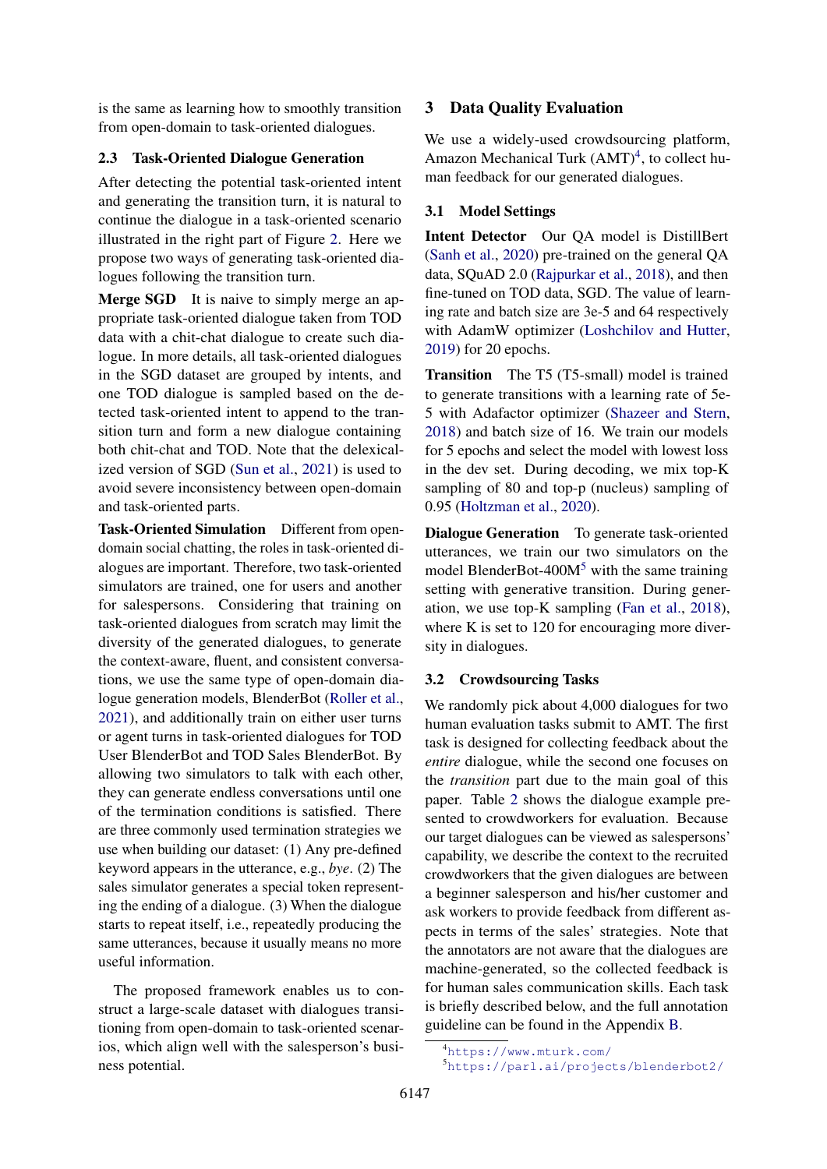is the same as learning how to smoothly transition from open-domain to task-oriented dialogues.

#### <span id="page-4-3"></span>2.3 Task-Oriented Dialogue Generation

After detecting the potential task-oriented intent and generating the transition turn, it is natural to continue the dialogue in a task-oriented scenario illustrated in the right part of Figure [2.](#page-2-0) Here we propose two ways of generating task-oriented dialogues following the transition turn.

Merge SGD It is naive to simply merge an appropriate task-oriented dialogue taken from TOD data with a chit-chat dialogue to create such dialogue. In more details, all task-oriented dialogues in the SGD dataset are grouped by intents, and one TOD dialogue is sampled based on the detected task-oriented intent to append to the transition turn and form a new dialogue containing both chit-chat and TOD. Note that the delexicalized version of SGD [\(Sun et al.,](#page-10-2) [2021\)](#page-10-2) is used to avoid severe inconsistency between open-domain and task-oriented parts.

Task-Oriented Simulation Different from opendomain social chatting, the roles in task-oriented dialogues are important. Therefore, two task-oriented simulators are trained, one for users and another for salespersons. Considering that training on task-oriented dialogues from scratch may limit the diversity of the generated dialogues, to generate the context-aware, fluent, and consistent conversations, we use the same type of open-domain dialogue generation models, BlenderBot [\(Roller et al.,](#page-9-3) [2021\)](#page-9-3), and additionally train on either user turns or agent turns in task-oriented dialogues for TOD User BlenderBot and TOD Sales BlenderBot. By allowing two simulators to talk with each other, they can generate endless conversations until one of the termination conditions is satisfied. There are three commonly used termination strategies we use when building our dataset: (1) Any pre-defined keyword appears in the utterance, e.g., *bye*. (2) The sales simulator generates a special token representing the ending of a dialogue. (3) When the dialogue starts to repeat itself, i.e., repeatedly producing the same utterances, because it usually means no more useful information.

The proposed framework enables us to construct a large-scale dataset with dialogues transitioning from open-domain to task-oriented scenarios, which align well with the salesperson's business potential.

## 3 Data Quality Evaluation

We use a widely-used crowdsourcing platform, Amazon Mechanical Turk  $(AMT)^4$  $(AMT)^4$ , to collect human feedback for our generated dialogues.

#### <span id="page-4-2"></span>3.1 Model Settings

Intent Detector Our QA model is DistillBert [\(Sanh et al.,](#page-9-12) [2020\)](#page-9-12) pre-trained on the general QA data, SQuAD 2.0 [\(Rajpurkar et al.,](#page-9-9) [2018\)](#page-9-9), and then fine-tuned on TOD data, SGD. The value of learning rate and batch size are 3e-5 and 64 respectively with AdamW optimizer [\(Loshchilov and Hutter,](#page-9-13) [2019\)](#page-9-13) for 20 epochs.

Transition The T5 (T5-small) model is trained to generate transitions with a learning rate of 5e-5 with Adafactor optimizer [\(Shazeer and Stern,](#page-9-14) [2018\)](#page-9-14) and batch size of 16. We train our models for 5 epochs and select the model with lowest loss in the dev set. During decoding, we mix top-K sampling of 80 and top-p (nucleus) sampling of 0.95 [\(Holtzman et al.,](#page-9-15) [2020\)](#page-9-15).

Dialogue Generation To generate task-oriented utterances, we train our two simulators on the model BlenderBot-400 $M<sup>5</sup>$  $M<sup>5</sup>$  $M<sup>5</sup>$  with the same training setting with generative transition. During generation, we use top-K sampling [\(Fan et al.,](#page-9-16) [2018\)](#page-9-16), where K is set to 120 for encouraging more diversity in dialogues.

## 3.2 Crowdsourcing Tasks

We randomly pick about 4,000 dialogues for two human evaluation tasks submit to AMT. The first task is designed for collecting feedback about the *entire* dialogue, while the second one focuses on the *transition* part due to the main goal of this paper. Table [2](#page-5-0) shows the dialogue example presented to crowdworkers for evaluation. Because our target dialogues can be viewed as salespersons' capability, we describe the context to the recruited crowdworkers that the given dialogues are between a beginner salesperson and his/her customer and ask workers to provide feedback from different aspects in terms of the sales' strategies. Note that the annotators are not aware that the dialogues are machine-generated, so the collected feedback is for human sales communication skills. Each task is briefly described below, and the full annotation guideline can be found in the Appendix [B.](#page-11-0)

<span id="page-4-0"></span><sup>4</sup><https://www.mturk.com/>

<span id="page-4-1"></span><sup>5</sup><https://parl.ai/projects/blenderbot2/>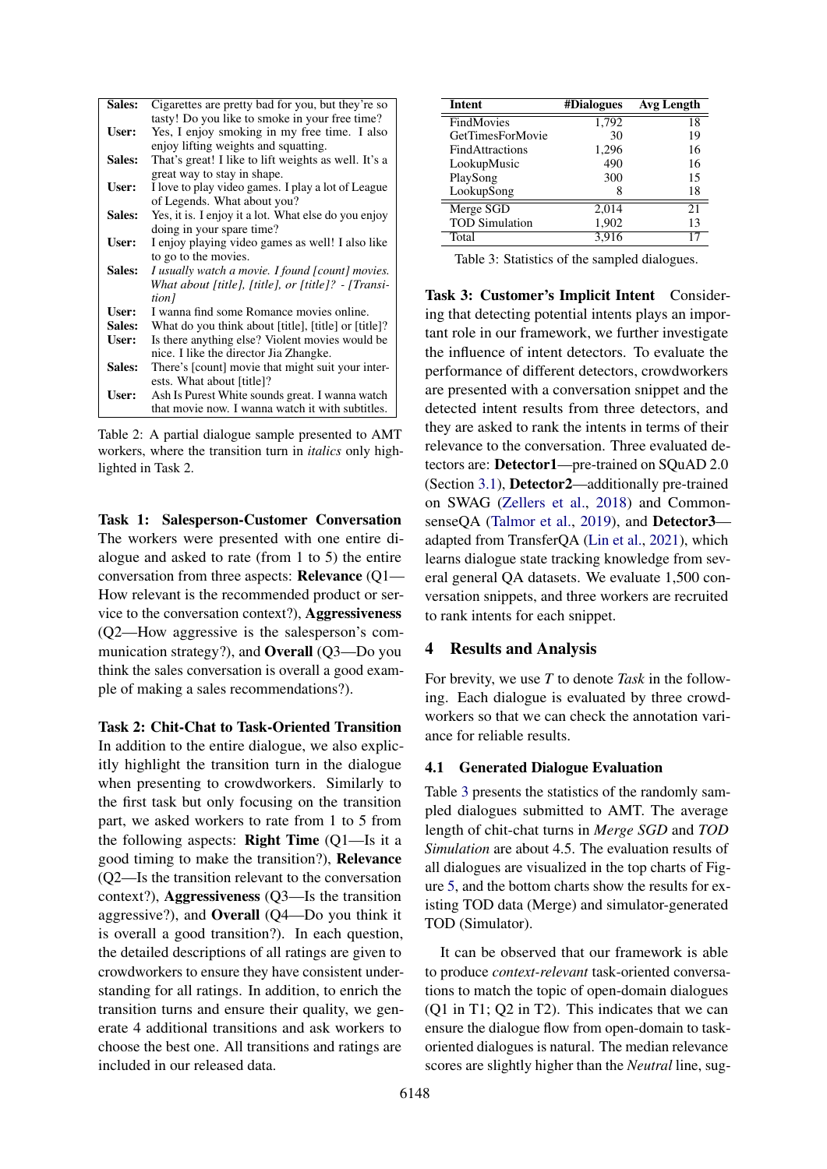<span id="page-5-0"></span>

| <b>Sales:</b> | Cigarettes are pretty bad for you, but they're so    |
|---------------|------------------------------------------------------|
|               | tasty! Do you like to smoke in your free time?       |
| <b>User:</b>  | Yes, I enjoy smoking in my free time. I also         |
|               | enjoy lifting weights and squatting.                 |
| Sales:        | That's great! I like to lift weights as well. It's a |
|               | great way to stay in shape.                          |
| <b>User:</b>  | I love to play video games. I play a lot of League   |
|               | of Legends. What about you?                          |
| Sales:        | Yes, it is. I enjoy it a lot. What else do you enjoy |
|               | doing in your spare time?                            |
| <b>User:</b>  | I enjoy playing video games as well! I also like     |
|               | to go to the movies.                                 |
| Sales:        | I usually watch a movie. I found [count] movies.     |
|               | What about [title], [title], or [title]? - [Transi-  |
|               | tion]                                                |
| User:         | I wanna find some Romance movies online.             |
| Sales:        | What do you think about [title], [title] or [title]? |
| <b>User:</b>  | Is there anything else? Violent movies would be      |
|               | nice. I like the director Jia Zhangke.               |
| Sales:        | There's [count] movie that might suit your inter-    |
|               | ests. What about [title]?                            |
| <b>User:</b>  | Ash Is Purest White sounds great. I wanna watch      |
|               | that movie now. I wanna watch it with subtitles.     |

Table 2: A partial dialogue sample presented to AMT workers, where the transition turn in *italics* only highlighted in Task 2.

Task 1: Salesperson-Customer Conversation The workers were presented with one entire dialogue and asked to rate (from 1 to 5) the entire conversation from three aspects: Relevance (Q1— How relevant is the recommended product or service to the conversation context?), Aggressiveness (Q2—How aggressive is the salesperson's communication strategy?), and Overall (Q3—Do you think the sales conversation is overall a good example of making a sales recommendations?).

Task 2: Chit-Chat to Task-Oriented Transition In addition to the entire dialogue, we also explicitly highlight the transition turn in the dialogue when presenting to crowdworkers. Similarly to the first task but only focusing on the transition part, we asked workers to rate from 1 to 5 from the following aspects: **Right Time**  $(Q1$ —Is it a good timing to make the transition?), Relevance (Q2—Is the transition relevant to the conversation context?), Aggressiveness (Q3—Is the transition aggressive?), and Overall (Q4—Do you think it is overall a good transition?). In each question, the detailed descriptions of all ratings are given to crowdworkers to ensure they have consistent understanding for all ratings. In addition, to enrich the transition turns and ensure their quality, we generate 4 additional transitions and ask workers to choose the best one. All transitions and ratings are included in our released data.

<span id="page-5-1"></span>

| Intent                 | #Dialogues | Avg Length |
|------------------------|------------|------------|
| FindMovies             | 1,792      | 18         |
| GetTimesForMovie       | 30         | 19         |
| <b>FindAttractions</b> | 1,296      | 16         |
| LookupMusic            | 490        | 16         |
| PlaySong               | 300        | 15         |
| LookupSong             |            | 18         |
| Merge SGD              | 2.014      | 21         |
| <b>TOD Simulation</b>  | 1,902      | 13         |
| Total                  | 3.916      | 17         |

Table 3: Statistics of the sampled dialogues.

Task 3: Customer's Implicit Intent Considering that detecting potential intents plays an important role in our framework, we further investigate the influence of intent detectors. To evaluate the performance of different detectors, crowdworkers are presented with a conversation snippet and the detected intent results from three detectors, and they are asked to rank the intents in terms of their relevance to the conversation. Three evaluated detectors are: Detector1—pre-trained on SQuAD 2.0 (Section [3.1\)](#page-4-2), Detector2—additionally pre-trained on SWAG [\(Zellers et al.,](#page-10-8) [2018\)](#page-10-8) and Common-senseQA [\(Talmor et al.,](#page-10-7) [2019\)](#page-10-7), and Detector3 adapted from TransferQA [\(Lin et al.,](#page-9-17) [2021\)](#page-9-17), which learns dialogue state tracking knowledge from several general QA datasets. We evaluate 1,500 conversation snippets, and three workers are recruited to rank intents for each snippet.

#### 4 Results and Analysis

For brevity, we use *T* to denote *Task* in the following. Each dialogue is evaluated by three crowdworkers so that we can check the annotation variance for reliable results.

## 4.1 Generated Dialogue Evaluation

Table [3](#page-5-1) presents the statistics of the randomly sampled dialogues submitted to AMT. The average length of chit-chat turns in *Merge SGD* and *TOD Simulation* are about 4.5. The evaluation results of all dialogues are visualized in the top charts of Figure [5,](#page-6-0) and the bottom charts show the results for existing TOD data (Merge) and simulator-generated TOD (Simulator).

It can be observed that our framework is able to produce *context-relevant* task-oriented conversations to match the topic of open-domain dialogues (Q1 in T1; Q2 in T2). This indicates that we can ensure the dialogue flow from open-domain to taskoriented dialogues is natural. The median relevance scores are slightly higher than the *Neutral* line, sug-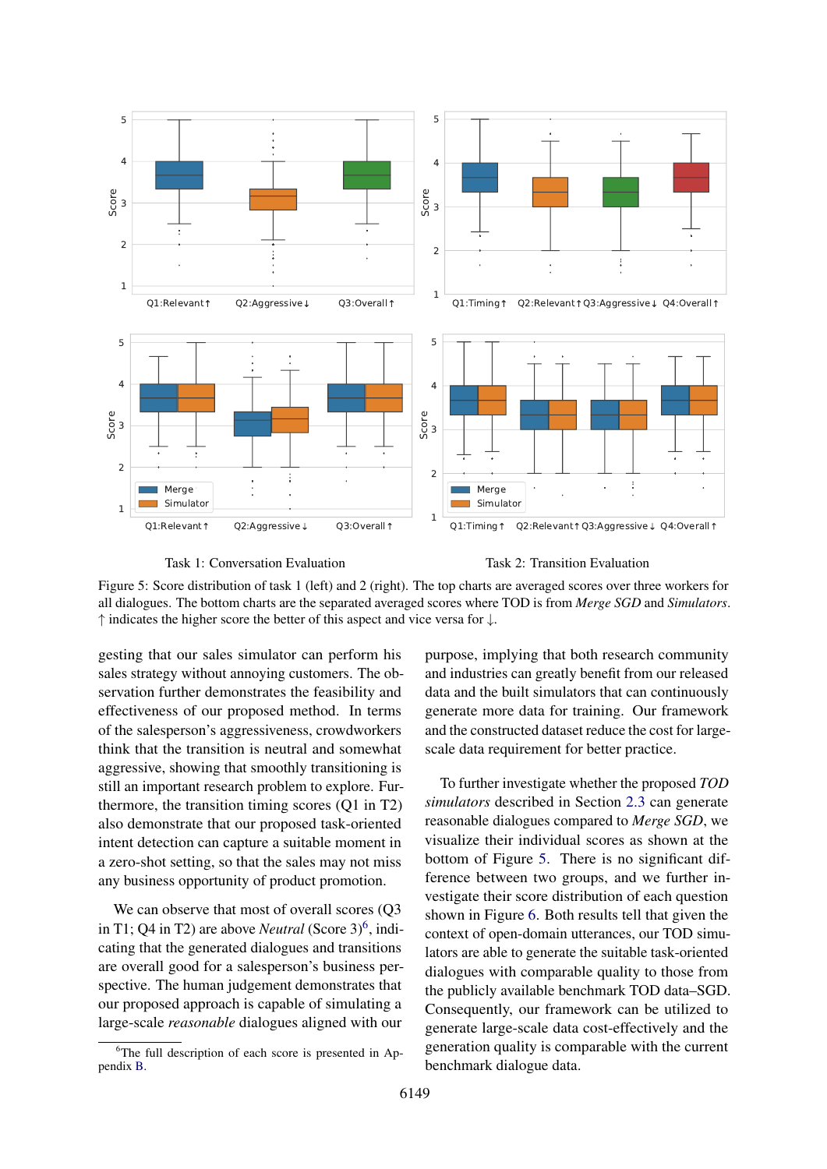<span id="page-6-0"></span>

Task 1: Conversation Evaluation

Task 2: Transition Evaluation

Figure 5: Score distribution of task 1 (left) and 2 (right). The top charts are averaged scores over three workers for all dialogues. The bottom charts are the separated averaged scores where TOD is from *Merge SGD* and *Simulators*. ↑ indicates the higher score the better of this aspect and vice versa for ↓.

gesting that our sales simulator can perform his sales strategy without annoying customers. The observation further demonstrates the feasibility and effectiveness of our proposed method. In terms of the salesperson's aggressiveness, crowdworkers think that the transition is neutral and somewhat aggressive, showing that smoothly transitioning is still an important research problem to explore. Furthermore, the transition timing scores (Q1 in T2) also demonstrate that our proposed task-oriented intent detection can capture a suitable moment in a zero-shot setting, so that the sales may not miss any business opportunity of product promotion.

We can observe that most of overall scores (Q3 in T1; Q4 in T2) are above *Neutral* (Score 3)<sup>[6](#page-6-1)</sup>, indicating that the generated dialogues and transitions are overall good for a salesperson's business perspective. The human judgement demonstrates that our proposed approach is capable of simulating a large-scale *reasonable* dialogues aligned with our

purpose, implying that both research community and industries can greatly benefit from our released data and the built simulators that can continuously generate more data for training. Our framework and the constructed dataset reduce the cost for largescale data requirement for better practice.

To further investigate whether the proposed *TOD simulators* described in Section [2.3](#page-4-3) can generate reasonable dialogues compared to *Merge SGD*, we visualize their individual scores as shown at the bottom of Figure [5.](#page-6-0) There is no significant difference between two groups, and we further investigate their score distribution of each question shown in Figure [6.](#page-7-0) Both results tell that given the context of open-domain utterances, our TOD simulators are able to generate the suitable task-oriented dialogues with comparable quality to those from the publicly available benchmark TOD data–SGD. Consequently, our framework can be utilized to generate large-scale data cost-effectively and the generation quality is comparable with the current benchmark dialogue data.

<span id="page-6-1"></span><sup>&</sup>lt;sup>6</sup>The full description of each score is presented in Appendix [B.](#page-11-0)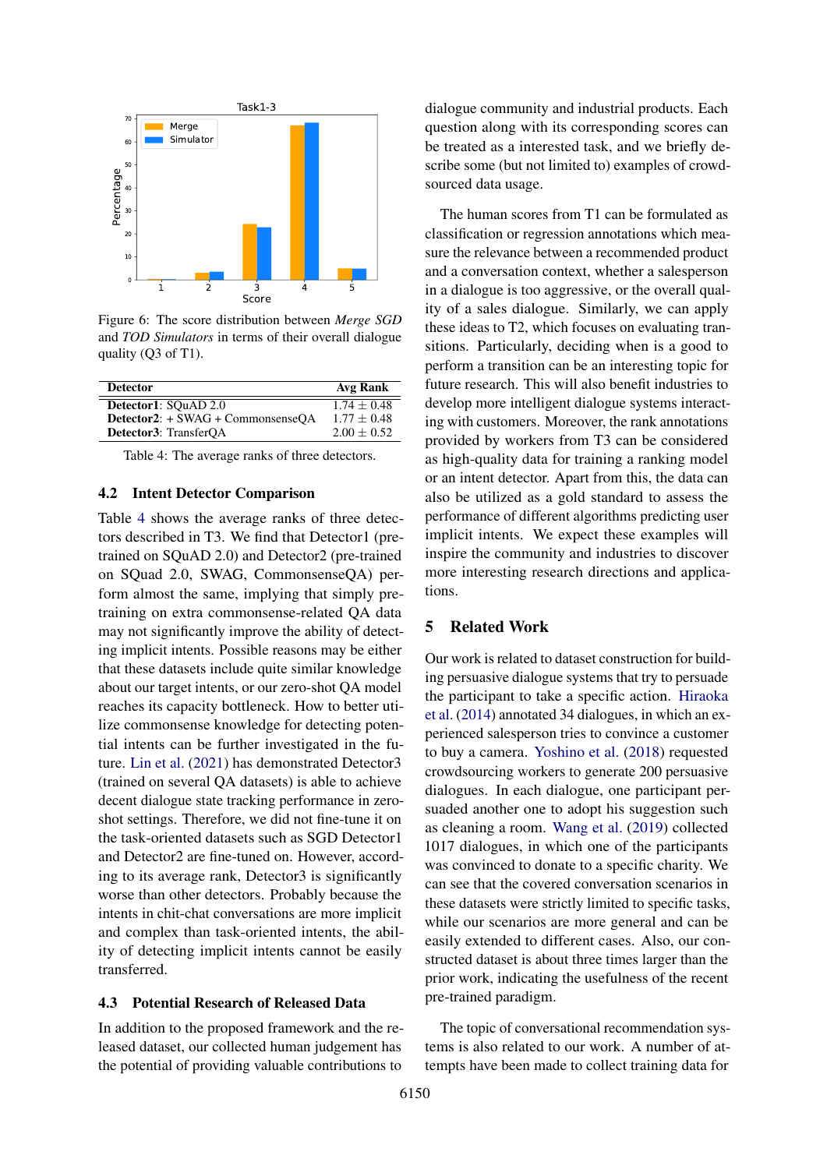<span id="page-7-0"></span>

Figure 6: The score distribution between *Merge SGD* and *TOD Simulators* in terms of their overall dialogue quality (Q3 of T1).

<span id="page-7-1"></span>

| <b>Detector</b>                   | Avg Rank      |
|-----------------------------------|---------------|
| Detector1: SQuAD 2.0              | $1.74 + 0.48$ |
| Detector2: + SWAG + CommonsenseOA | $1.77 + 0.48$ |
| Detector3: TransferOA             | $2.00 + 0.52$ |

Table 4: The average ranks of three detectors.

#### 4.2 Intent Detector Comparison

Table [4](#page-7-1) shows the average ranks of three detectors described in T3. We find that Detector1 (pretrained on SQuAD 2.0) and Detector2 (pre-trained on SQuad 2.0, SWAG, CommonsenseQA) perform almost the same, implying that simply pretraining on extra commonsense-related QA data may not significantly improve the ability of detecting implicit intents. Possible reasons may be either that these datasets include quite similar knowledge about our target intents, or our zero-shot QA model reaches its capacity bottleneck. How to better utilize commonsense knowledge for detecting potential intents can be further investigated in the future. [Lin et al.](#page-9-17) [\(2021\)](#page-9-17) has demonstrated Detector3 (trained on several QA datasets) is able to achieve decent dialogue state tracking performance in zeroshot settings. Therefore, we did not fine-tune it on the task-oriented datasets such as SGD Detector1 and Detector2 are fine-tuned on. However, according to its average rank, Detector3 is significantly worse than other detectors. Probably because the intents in chit-chat conversations are more implicit and complex than task-oriented intents, the ability of detecting implicit intents cannot be easily transferred.

#### 4.3 Potential Research of Released Data

In addition to the proposed framework and the released dataset, our collected human judgement has the potential of providing valuable contributions to

dialogue community and industrial products. Each question along with its corresponding scores can be treated as a interested task, and we briefly describe some (but not limited to) examples of crowdsourced data usage.

The human scores from T1 can be formulated as classification or regression annotations which measure the relevance between a recommended product and a conversation context, whether a salesperson in a dialogue is too aggressive, or the overall quality of a sales dialogue. Similarly, we can apply these ideas to T2, which focuses on evaluating transitions. Particularly, deciding when is a good to perform a transition can be an interesting topic for future research. This will also benefit industries to develop more intelligent dialogue systems interacting with customers. Moreover, the rank annotations provided by workers from T3 can be considered as high-quality data for training a ranking model or an intent detector. Apart from this, the data can also be utilized as a gold standard to assess the performance of different algorithms predicting user implicit intents. We expect these examples will inspire the community and industries to discover more interesting research directions and applications.

#### 5 Related Work

Our work is related to dataset construction for building persuasive dialogue systems that try to persuade the participant to take a specific action. [Hiraoka](#page-9-18) [et al.](#page-9-18) [\(2014\)](#page-9-18) annotated 34 dialogues, in which an experienced salesperson tries to convince a customer to buy a camera. [Yoshino et al.](#page-10-9) [\(2018\)](#page-10-9) requested crowdsourcing workers to generate 200 persuasive dialogues. In each dialogue, one participant persuaded another one to adopt his suggestion such as cleaning a room. [Wang et al.](#page-10-10) [\(2019\)](#page-10-10) collected 1017 dialogues, in which one of the participants was convinced to donate to a specific charity. We can see that the covered conversation scenarios in these datasets were strictly limited to specific tasks, while our scenarios are more general and can be easily extended to different cases. Also, our constructed dataset is about three times larger than the prior work, indicating the usefulness of the recent pre-trained paradigm.

The topic of conversational recommendation systems is also related to our work. A number of attempts have been made to collect training data for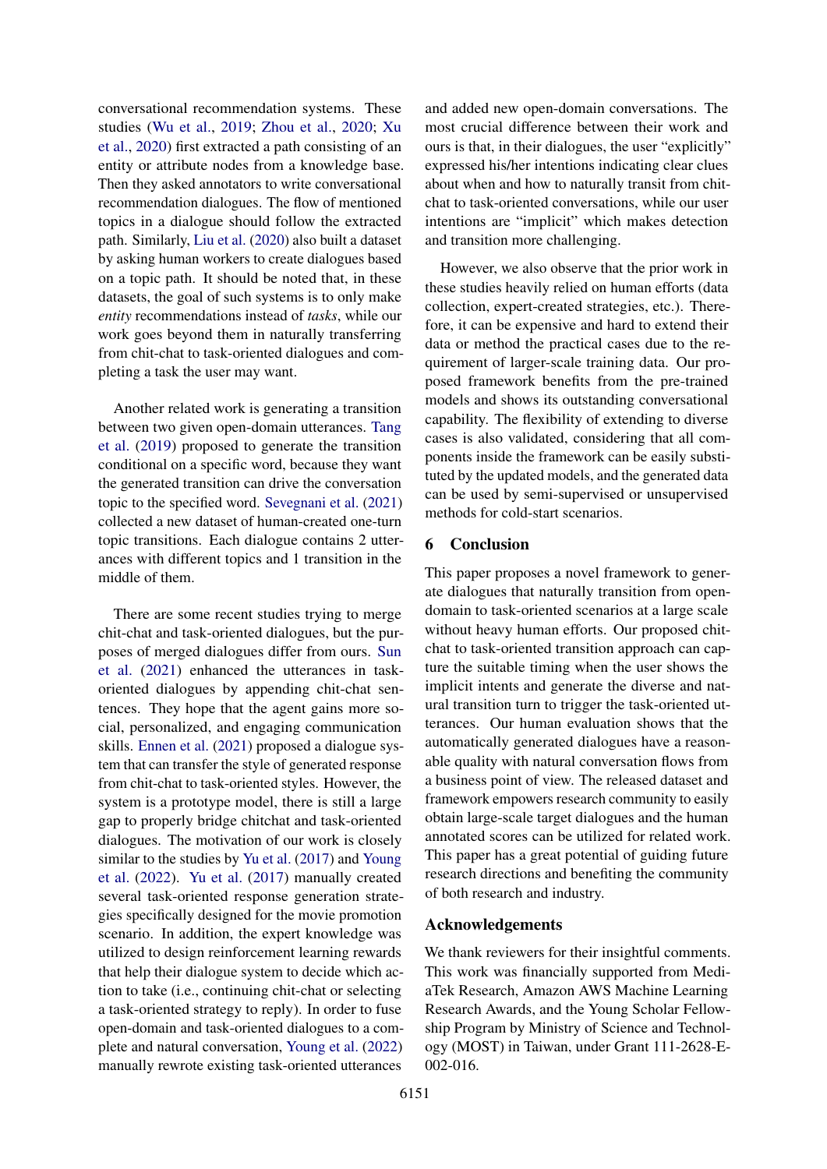conversational recommendation systems. These studies [\(Wu et al.,](#page-10-11) [2019;](#page-10-11) [Zhou et al.,](#page-10-12) [2020;](#page-10-12) [Xu](#page-10-13) [et al.,](#page-10-13) [2020\)](#page-10-13) first extracted a path consisting of an entity or attribute nodes from a knowledge base. Then they asked annotators to write conversational recommendation dialogues. The flow of mentioned topics in a dialogue should follow the extracted path. Similarly, [Liu et al.](#page-9-19) [\(2020\)](#page-9-19) also built a dataset by asking human workers to create dialogues based on a topic path. It should be noted that, in these datasets, the goal of such systems is to only make *entity* recommendations instead of *tasks*, while our work goes beyond them in naturally transferring from chit-chat to task-oriented dialogues and completing a task the user may want.

Another related work is generating a transition between two given open-domain utterances. [Tang](#page-10-14) [et al.](#page-10-14) [\(2019\)](#page-10-14) proposed to generate the transition conditional on a specific word, because they want the generated transition can drive the conversation topic to the specified word. [Sevegnani et al.](#page-9-11) [\(2021\)](#page-9-11) collected a new dataset of human-created one-turn topic transitions. Each dialogue contains 2 utterances with different topics and 1 transition in the middle of them.

There are some recent studies trying to merge chit-chat and task-oriented dialogues, but the purposes of merged dialogues differ from ours. [Sun](#page-10-2) [et al.](#page-10-2) [\(2021\)](#page-10-2) enhanced the utterances in taskoriented dialogues by appending chit-chat sentences. They hope that the agent gains more social, personalized, and engaging communication skills. [Ennen et al.](#page-9-10) [\(2021\)](#page-9-10) proposed a dialogue system that can transfer the style of generated response from chit-chat to task-oriented styles. However, the system is a prototype model, there is still a large gap to properly bridge chitchat and task-oriented dialogues. The motivation of our work is closely similar to the studies by [Yu et al.](#page-10-3) [\(2017\)](#page-10-3) and [Young](#page-10-15) [et al.](#page-10-15) [\(2022\)](#page-10-15). [Yu et al.](#page-10-3) [\(2017\)](#page-10-3) manually created several task-oriented response generation strategies specifically designed for the movie promotion scenario. In addition, the expert knowledge was utilized to design reinforcement learning rewards that help their dialogue system to decide which action to take (i.e., continuing chit-chat or selecting a task-oriented strategy to reply). In order to fuse open-domain and task-oriented dialogues to a complete and natural conversation, [Young et al.](#page-10-15) [\(2022\)](#page-10-15) manually rewrote existing task-oriented utterances

and added new open-domain conversations. The most crucial difference between their work and ours is that, in their dialogues, the user "explicitly" expressed his/her intentions indicating clear clues about when and how to naturally transit from chitchat to task-oriented conversations, while our user intentions are "implicit" which makes detection and transition more challenging.

However, we also observe that the prior work in these studies heavily relied on human efforts (data collection, expert-created strategies, etc.). Therefore, it can be expensive and hard to extend their data or method the practical cases due to the requirement of larger-scale training data. Our proposed framework benefits from the pre-trained models and shows its outstanding conversational capability. The flexibility of extending to diverse cases is also validated, considering that all components inside the framework can be easily substituted by the updated models, and the generated data can be used by semi-supervised or unsupervised methods for cold-start scenarios.

## 6 Conclusion

This paper proposes a novel framework to generate dialogues that naturally transition from opendomain to task-oriented scenarios at a large scale without heavy human efforts. Our proposed chitchat to task-oriented transition approach can capture the suitable timing when the user shows the implicit intents and generate the diverse and natural transition turn to trigger the task-oriented utterances. Our human evaluation shows that the automatically generated dialogues have a reasonable quality with natural conversation flows from a business point of view. The released dataset and framework empowers research community to easily obtain large-scale target dialogues and the human annotated scores can be utilized for related work. This paper has a great potential of guiding future research directions and benefiting the community of both research and industry.

#### Acknowledgements

We thank reviewers for their insightful comments. This work was financially supported from MediaTek Research, Amazon AWS Machine Learning Research Awards, and the Young Scholar Fellowship Program by Ministry of Science and Technology (MOST) in Taiwan, under Grant 111-2628-E-002-016.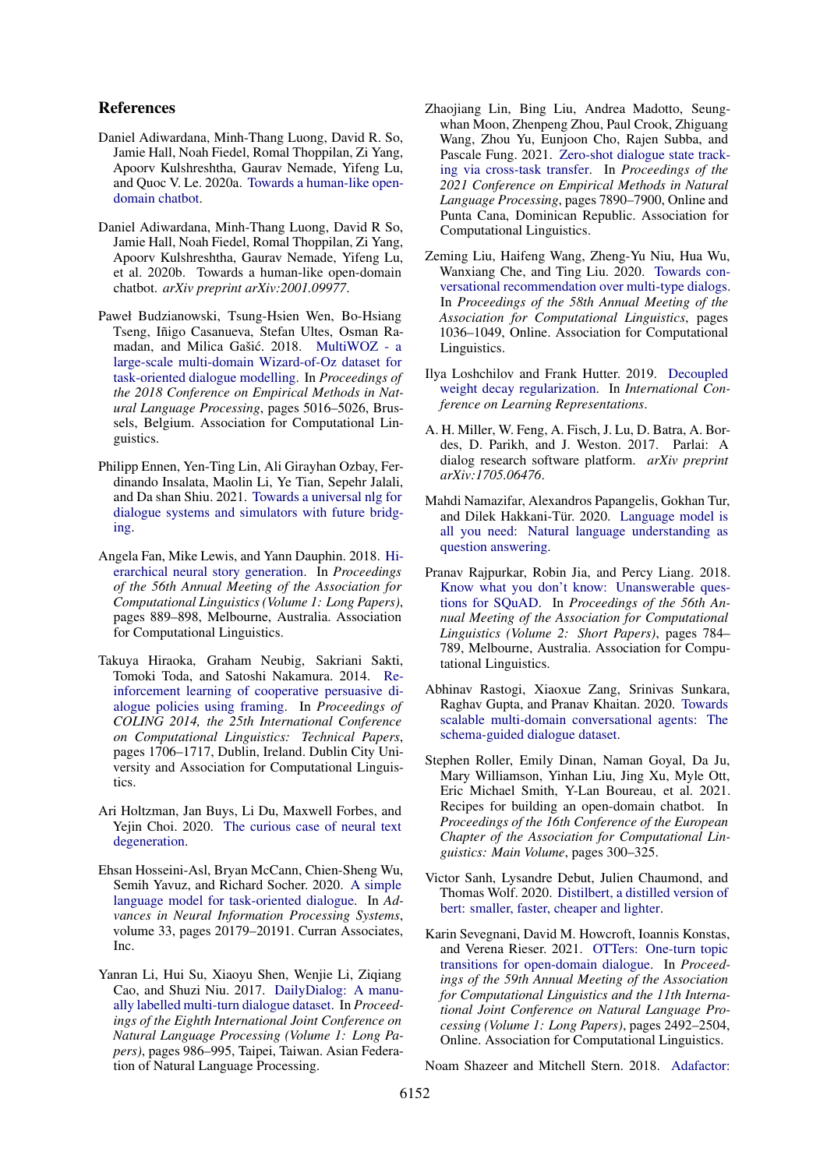#### References

- <span id="page-9-1"></span>Daniel Adiwardana, Minh-Thang Luong, David R. So, Jamie Hall, Noah Fiedel, Romal Thoppilan, Zi Yang, Apoorv Kulshreshtha, Gaurav Nemade, Yifeng Lu, and Quoc V. Le. 2020a. [Towards a human-like open](http://arxiv.org/abs/2001.09977)[domain chatbot.](http://arxiv.org/abs/2001.09977)
- <span id="page-9-2"></span>Daniel Adiwardana, Minh-Thang Luong, David R So, Jamie Hall, Noah Fiedel, Romal Thoppilan, Zi Yang, Apoorv Kulshreshtha, Gaurav Nemade, Yifeng Lu, et al. 2020b. Towards a human-like open-domain chatbot. *arXiv preprint arXiv:2001.09977*.
- <span id="page-9-4"></span>Paweł Budzianowski, Tsung-Hsien Wen, Bo-Hsiang Tseng, Iñigo Casanueva, Stefan Ultes, Osman Ra-madan, and Milica Gašić. 2018. [MultiWOZ - a](https://doi.org/10.18653/v1/D18-1547) [large-scale multi-domain Wizard-of-Oz dataset for](https://doi.org/10.18653/v1/D18-1547) [task-oriented dialogue modelling.](https://doi.org/10.18653/v1/D18-1547) In *Proceedings of the 2018 Conference on Empirical Methods in Natural Language Processing*, pages 5016–5026, Brussels, Belgium. Association for Computational Linguistics.
- <span id="page-9-10"></span>Philipp Ennen, Yen-Ting Lin, Ali Girayhan Ozbay, Ferdinando Insalata, Maolin Li, Ye Tian, Sepehr Jalali, and Da shan Shiu. 2021. [Towards a universal nlg for](http://arxiv.org/abs/2105.10267) [dialogue systems and simulators with future bridg](http://arxiv.org/abs/2105.10267)[ing.](http://arxiv.org/abs/2105.10267)
- <span id="page-9-16"></span>Angela Fan, Mike Lewis, and Yann Dauphin. 2018. [Hi](https://doi.org/10.18653/v1/P18-1082)[erarchical neural story generation.](https://doi.org/10.18653/v1/P18-1082) In *Proceedings of the 56th Annual Meeting of the Association for Computational Linguistics (Volume 1: Long Papers)*, pages 889–898, Melbourne, Australia. Association for Computational Linguistics.
- <span id="page-9-18"></span>Takuya Hiraoka, Graham Neubig, Sakriani Sakti, Tomoki Toda, and Satoshi Nakamura. 2014. [Re](https://aclanthology.org/C14-1161)[inforcement learning of cooperative persuasive di](https://aclanthology.org/C14-1161)[alogue policies using framing.](https://aclanthology.org/C14-1161) In *Proceedings of COLING 2014, the 25th International Conference on Computational Linguistics: Technical Papers*, pages 1706–1717, Dublin, Ireland. Dublin City University and Association for Computational Linguistics.
- <span id="page-9-15"></span>Ari Holtzman, Jan Buys, Li Du, Maxwell Forbes, and Yejin Choi. 2020. [The curious case of neural text](http://arxiv.org/abs/1904.09751) [degeneration.](http://arxiv.org/abs/1904.09751)
- <span id="page-9-5"></span>Ehsan Hosseini-Asl, Bryan McCann, Chien-Sheng Wu, Semih Yavuz, and Richard Socher. 2020. [A simple](https://proceedings.neurips.cc/paper/2020/file/e946209592563be0f01c844ab2170f0c-Paper.pdf) [language model for task-oriented dialogue.](https://proceedings.neurips.cc/paper/2020/file/e946209592563be0f01c844ab2170f0c-Paper.pdf) In *Advances in Neural Information Processing Systems*, volume 33, pages 20179–20191. Curran Associates, Inc.
- <span id="page-9-0"></span>Yanran Li, Hui Su, Xiaoyu Shen, Wenjie Li, Ziqiang Cao, and Shuzi Niu. 2017. [DailyDialog: A manu](https://aclanthology.org/I17-1099)[ally labelled multi-turn dialogue dataset.](https://aclanthology.org/I17-1099) In *Proceedings of the Eighth International Joint Conference on Natural Language Processing (Volume 1: Long Papers)*, pages 986–995, Taipei, Taiwan. Asian Federation of Natural Language Processing.
- <span id="page-9-17"></span>Zhaojiang Lin, Bing Liu, Andrea Madotto, Seungwhan Moon, Zhenpeng Zhou, Paul Crook, Zhiguang Wang, Zhou Yu, Eunjoon Cho, Rajen Subba, and Pascale Fung. 2021. [Zero-shot dialogue state track](https://doi.org/10.18653/v1/2021.emnlp-main.622)[ing via cross-task transfer.](https://doi.org/10.18653/v1/2021.emnlp-main.622) In *Proceedings of the 2021 Conference on Empirical Methods in Natural Language Processing*, pages 7890–7900, Online and Punta Cana, Dominican Republic. Association for Computational Linguistics.
- <span id="page-9-19"></span>Zeming Liu, Haifeng Wang, Zheng-Yu Niu, Hua Wu, Wanxiang Che, and Ting Liu. 2020. [Towards con](https://doi.org/10.18653/v1/2020.acl-main.98)[versational recommendation over multi-type dialogs.](https://doi.org/10.18653/v1/2020.acl-main.98) In *Proceedings of the 58th Annual Meeting of the Association for Computational Linguistics*, pages 1036–1049, Online. Association for Computational Linguistics.
- <span id="page-9-13"></span>Ilya Loshchilov and Frank Hutter. 2019. [Decoupled](https://openreview.net/forum?id=Bkg6RiCqY7) [weight decay regularization.](https://openreview.net/forum?id=Bkg6RiCqY7) In *International Conference on Learning Representations*.
- <span id="page-9-7"></span>A. H. Miller, W. Feng, A. Fisch, J. Lu, D. Batra, A. Bordes, D. Parikh, and J. Weston. 2017. Parlai: A dialog research software platform. *arXiv preprint arXiv:1705.06476*.
- <span id="page-9-8"></span>Mahdi Namazifar, Alexandros Papangelis, Gokhan Tur, and Dilek Hakkani-Tür. 2020. [Language model is](http://arxiv.org/abs/2011.03023) [all you need: Natural language understanding as](http://arxiv.org/abs/2011.03023) [question answering.](http://arxiv.org/abs/2011.03023)
- <span id="page-9-9"></span>Pranav Rajpurkar, Robin Jia, and Percy Liang. 2018. [Know what you don't know: Unanswerable ques](https://doi.org/10.18653/v1/P18-2124)[tions for SQuAD.](https://doi.org/10.18653/v1/P18-2124) In *Proceedings of the 56th Annual Meeting of the Association for Computational Linguistics (Volume 2: Short Papers)*, pages 784– 789, Melbourne, Australia. Association for Computational Linguistics.
- <span id="page-9-6"></span>Abhinav Rastogi, Xiaoxue Zang, Srinivas Sunkara, Raghav Gupta, and Pranav Khaitan. 2020. [Towards](http://arxiv.org/abs/1909.05855) [scalable multi-domain conversational agents: The](http://arxiv.org/abs/1909.05855) [schema-guided dialogue dataset.](http://arxiv.org/abs/1909.05855)
- <span id="page-9-3"></span>Stephen Roller, Emily Dinan, Naman Goyal, Da Ju, Mary Williamson, Yinhan Liu, Jing Xu, Myle Ott, Eric Michael Smith, Y-Lan Boureau, et al. 2021. Recipes for building an open-domain chatbot. In *Proceedings of the 16th Conference of the European Chapter of the Association for Computational Linguistics: Main Volume*, pages 300–325.
- <span id="page-9-12"></span>Victor Sanh, Lysandre Debut, Julien Chaumond, and Thomas Wolf. 2020. [Distilbert, a distilled version of](http://arxiv.org/abs/1910.01108) [bert: smaller, faster, cheaper and lighter.](http://arxiv.org/abs/1910.01108)
- <span id="page-9-11"></span>Karin Sevegnani, David M. Howcroft, Ioannis Konstas, and Verena Rieser. 2021. [OTTers: One-turn topic](https://doi.org/10.18653/v1/2021.acl-long.194) [transitions for open-domain dialogue.](https://doi.org/10.18653/v1/2021.acl-long.194) In *Proceedings of the 59th Annual Meeting of the Association for Computational Linguistics and the 11th International Joint Conference on Natural Language Processing (Volume 1: Long Papers)*, pages 2492–2504, Online. Association for Computational Linguistics.

<span id="page-9-14"></span>Noam Shazeer and Mitchell Stern. 2018. [Adafactor:](http://arxiv.org/abs/1804.04235)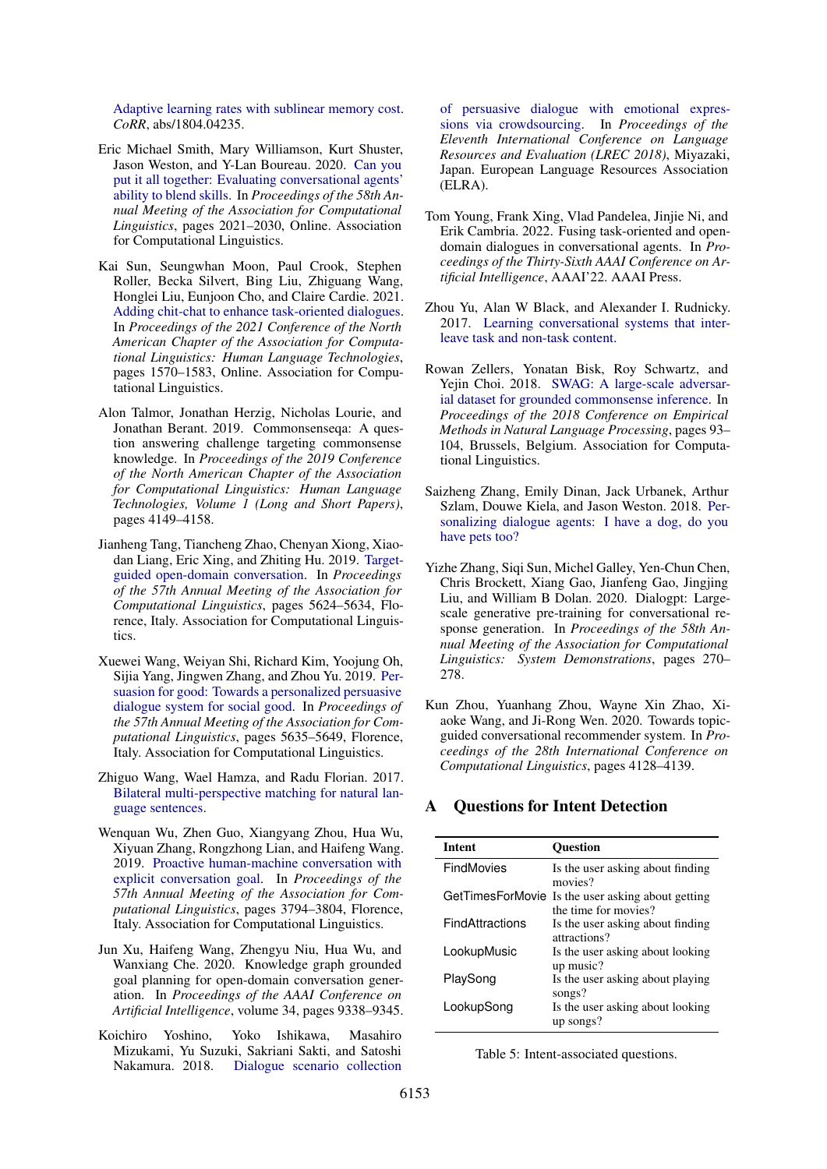[Adaptive learning rates with sublinear memory cost.](http://arxiv.org/abs/1804.04235) *CoRR*, abs/1804.04235.

- <span id="page-10-4"></span>Eric Michael Smith, Mary Williamson, Kurt Shuster, Jason Weston, and Y-Lan Boureau. 2020. [Can you](https://doi.org/10.18653/v1/2020.acl-main.183) [put it all together: Evaluating conversational agents'](https://doi.org/10.18653/v1/2020.acl-main.183) [ability to blend skills.](https://doi.org/10.18653/v1/2020.acl-main.183) In *Proceedings of the 58th Annual Meeting of the Association for Computational Linguistics*, pages 2021–2030, Online. Association for Computational Linguistics.
- <span id="page-10-2"></span>Kai Sun, Seungwhan Moon, Paul Crook, Stephen Roller, Becka Silvert, Bing Liu, Zhiguang Wang, Honglei Liu, Eunjoon Cho, and Claire Cardie. 2021. [Adding chit-chat to enhance task-oriented dialogues.](https://doi.org/10.18653/v1/2021.naacl-main.124) In *Proceedings of the 2021 Conference of the North American Chapter of the Association for Computational Linguistics: Human Language Technologies*, pages 1570–1583, Online. Association for Computational Linguistics.
- <span id="page-10-7"></span>Alon Talmor, Jonathan Herzig, Nicholas Lourie, and Jonathan Berant. 2019. Commonsenseqa: A question answering challenge targeting commonsense knowledge. In *Proceedings of the 2019 Conference of the North American Chapter of the Association for Computational Linguistics: Human Language Technologies, Volume 1 (Long and Short Papers)*, pages 4149–4158.
- <span id="page-10-14"></span>Jianheng Tang, Tiancheng Zhao, Chenyan Xiong, Xiaodan Liang, Eric Xing, and Zhiting Hu. 2019. [Target](https://doi.org/10.18653/v1/P19-1565)[guided open-domain conversation.](https://doi.org/10.18653/v1/P19-1565) In *Proceedings of the 57th Annual Meeting of the Association for Computational Linguistics*, pages 5624–5634, Florence, Italy. Association for Computational Linguistics.
- <span id="page-10-10"></span>Xuewei Wang, Weiyan Shi, Richard Kim, Yoojung Oh, Sijia Yang, Jingwen Zhang, and Zhou Yu. 2019. [Per](https://doi.org/10.18653/v1/P19-1566)[suasion for good: Towards a personalized persuasive](https://doi.org/10.18653/v1/P19-1566) [dialogue system for social good.](https://doi.org/10.18653/v1/P19-1566) In *Proceedings of the 57th Annual Meeting of the Association for Computational Linguistics*, pages 5635–5649, Florence, Italy. Association for Computational Linguistics.
- <span id="page-10-6"></span>Zhiguo Wang, Wael Hamza, and Radu Florian. 2017. [Bilateral multi-perspective matching for natural lan](http://arxiv.org/abs/1702.03814)[guage sentences.](http://arxiv.org/abs/1702.03814)
- <span id="page-10-11"></span>Wenquan Wu, Zhen Guo, Xiangyang Zhou, Hua Wu, Xiyuan Zhang, Rongzhong Lian, and Haifeng Wang. 2019. [Proactive human-machine conversation with](https://doi.org/10.18653/v1/P19-1369) [explicit conversation goal.](https://doi.org/10.18653/v1/P19-1369) In *Proceedings of the 57th Annual Meeting of the Association for Computational Linguistics*, pages 3794–3804, Florence, Italy. Association for Computational Linguistics.
- <span id="page-10-13"></span>Jun Xu, Haifeng Wang, Zhengyu Niu, Hua Wu, and Wanxiang Che. 2020. Knowledge graph grounded goal planning for open-domain conversation generation. In *Proceedings of the AAAI Conference on Artificial Intelligence*, volume 34, pages 9338–9345.
- <span id="page-10-9"></span>Koichiro Yoshino, Yoko Ishikawa, Masahiro Mizukami, Yu Suzuki, Sakriani Sakti, and Satoshi Nakamura. 2018. [Dialogue scenario collection](https://aclanthology.org/L18-1194)

[of persuasive dialogue with emotional expres](https://aclanthology.org/L18-1194)[sions via crowdsourcing.](https://aclanthology.org/L18-1194) In *Proceedings of the Eleventh International Conference on Language Resources and Evaluation (LREC 2018)*, Miyazaki, Japan. European Language Resources Association (ELRA).

- <span id="page-10-15"></span>Tom Young, Frank Xing, Vlad Pandelea, Jinjie Ni, and Erik Cambria. 2022. Fusing task-oriented and opendomain dialogues in conversational agents. In *Proceedings of the Thirty-Sixth AAAI Conference on Artificial Intelligence*, AAAI'22. AAAI Press.
- <span id="page-10-3"></span>Zhou Yu, Alan W Black, and Alexander I. Rudnicky. 2017. [Learning conversational systems that inter](http://arxiv.org/abs/1703.00099)[leave task and non-task content.](http://arxiv.org/abs/1703.00099)
- <span id="page-10-8"></span>Rowan Zellers, Yonatan Bisk, Roy Schwartz, and Yejin Choi. 2018. [SWAG: A large-scale adversar](https://doi.org/10.18653/v1/D18-1009)[ial dataset for grounded commonsense inference.](https://doi.org/10.18653/v1/D18-1009) In *Proceedings of the 2018 Conference on Empirical Methods in Natural Language Processing*, pages 93– 104, Brussels, Belgium. Association for Computational Linguistics.
- <span id="page-10-0"></span>Saizheng Zhang, Emily Dinan, Jack Urbanek, Arthur Szlam, Douwe Kiela, and Jason Weston. 2018. [Per](http://arxiv.org/abs/1801.07243)[sonalizing dialogue agents: I have a dog, do you](http://arxiv.org/abs/1801.07243) [have pets too?](http://arxiv.org/abs/1801.07243)
- <span id="page-10-1"></span>Yizhe Zhang, Siqi Sun, Michel Galley, Yen-Chun Chen, Chris Brockett, Xiang Gao, Jianfeng Gao, Jingjing Liu, and William B Dolan. 2020. Dialogpt: Largescale generative pre-training for conversational response generation. In *Proceedings of the 58th Annual Meeting of the Association for Computational Linguistics: System Demonstrations*, pages 270– 278.
- <span id="page-10-12"></span>Kun Zhou, Yuanhang Zhou, Wayne Xin Zhao, Xiaoke Wang, and Ji-Rong Wen. 2020. Towards topicguided conversational recommender system. In *Proceedings of the 28th International Conference on Computational Linguistics*, pages 4128–4139.

#### <span id="page-10-5"></span>**Questions for Intent Detection**

| <b>Intent</b>          | <b>Ouestion</b>                                          |
|------------------------|----------------------------------------------------------|
| FindMovies             | Is the user asking about finding<br>movies?              |
| GetTimesForMovie       | Is the user asking about getting<br>the time for movies? |
| <b>FindAttractions</b> | Is the user asking about finding<br>attractions?         |
| LookupMusic            | Is the user asking about looking<br>up music?            |
| PlaySong               | Is the user asking about playing<br>songs?               |
| LookupSong             | Is the user asking about looking<br>up songs?            |

Table 5: Intent-associated questions.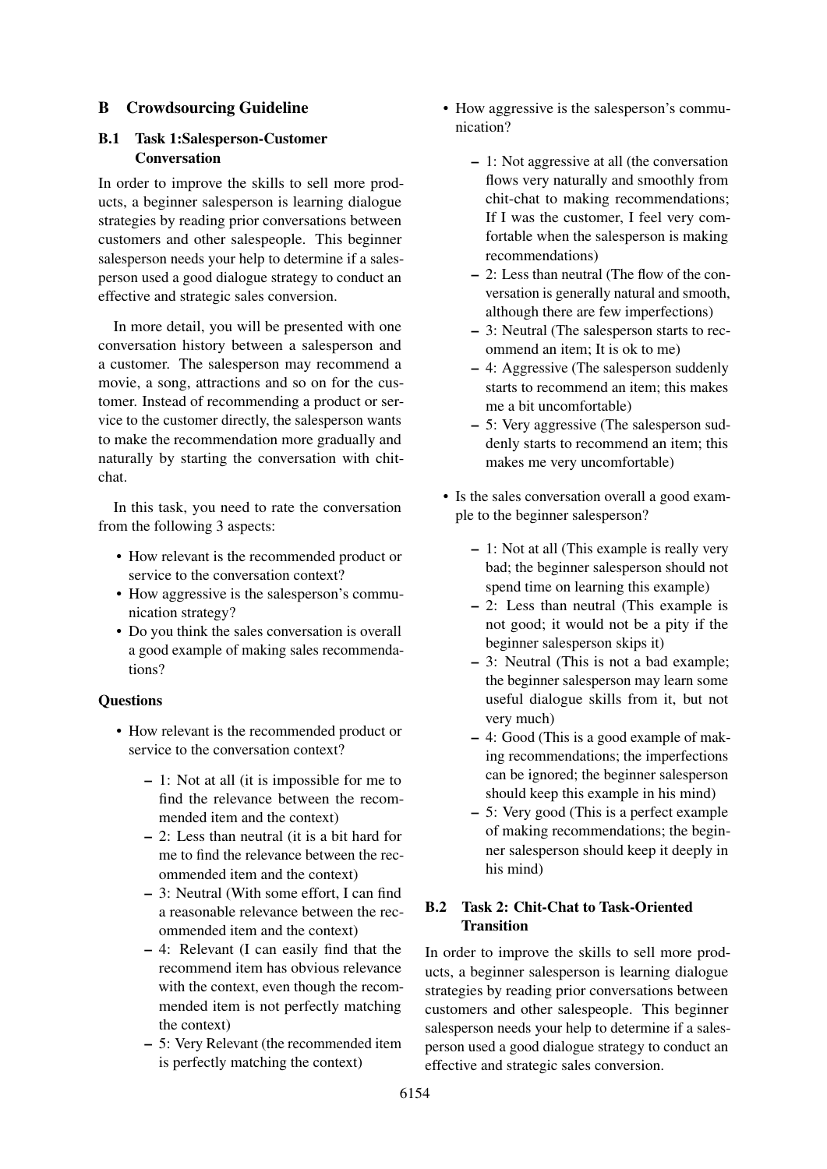## <span id="page-11-0"></span>B Crowdsourcing Guideline

## B.1 Task 1:Salesperson-Customer **Conversation**

In order to improve the skills to sell more products, a beginner salesperson is learning dialogue strategies by reading prior conversations between customers and other salespeople. This beginner salesperson needs your help to determine if a salesperson used a good dialogue strategy to conduct an effective and strategic sales conversion.

In more detail, you will be presented with one conversation history between a salesperson and a customer. The salesperson may recommend a movie, a song, attractions and so on for the customer. Instead of recommending a product or service to the customer directly, the salesperson wants to make the recommendation more gradually and naturally by starting the conversation with chitchat.

In this task, you need to rate the conversation from the following 3 aspects:

- How relevant is the recommended product or service to the conversation context?
- How aggressive is the salesperson's communication strategy?
- Do you think the sales conversation is overall a good example of making sales recommendations?

## **Ouestions**

- How relevant is the recommended product or service to the conversation context?
	- 1: Not at all (it is impossible for me to find the relevance between the recommended item and the context)
	- 2: Less than neutral (it is a bit hard for me to find the relevance between the recommended item and the context)
	- 3: Neutral (With some effort, I can find a reasonable relevance between the recommended item and the context)
	- 4: Relevant (I can easily find that the recommend item has obvious relevance with the context, even though the recommended item is not perfectly matching the context)
	- 5: Very Relevant (the recommended item is perfectly matching the context)
- How aggressive is the salesperson's communication?
	- 1: Not aggressive at all (the conversation flows very naturally and smoothly from chit-chat to making recommendations; If I was the customer, I feel very comfortable when the salesperson is making recommendations)
	- 2: Less than neutral (The flow of the conversation is generally natural and smooth, although there are few imperfections)
	- 3: Neutral (The salesperson starts to recommend an item; It is ok to me)
	- 4: Aggressive (The salesperson suddenly starts to recommend an item; this makes me a bit uncomfortable)
	- 5: Very aggressive (The salesperson suddenly starts to recommend an item; this makes me very uncomfortable)
- Is the sales conversation overall a good example to the beginner salesperson?
	- 1: Not at all (This example is really very bad; the beginner salesperson should not spend time on learning this example)
	- 2: Less than neutral (This example is not good; it would not be a pity if the beginner salesperson skips it)
	- 3: Neutral (This is not a bad example; the beginner salesperson may learn some useful dialogue skills from it, but not very much)
	- 4: Good (This is a good example of making recommendations; the imperfections can be ignored; the beginner salesperson should keep this example in his mind)
	- 5: Very good (This is a perfect example of making recommendations; the beginner salesperson should keep it deeply in his mind)

## B.2 Task 2: Chit-Chat to Task-Oriented **Transition**

In order to improve the skills to sell more products, a beginner salesperson is learning dialogue strategies by reading prior conversations between customers and other salespeople. This beginner salesperson needs your help to determine if a salesperson used a good dialogue strategy to conduct an effective and strategic sales conversion.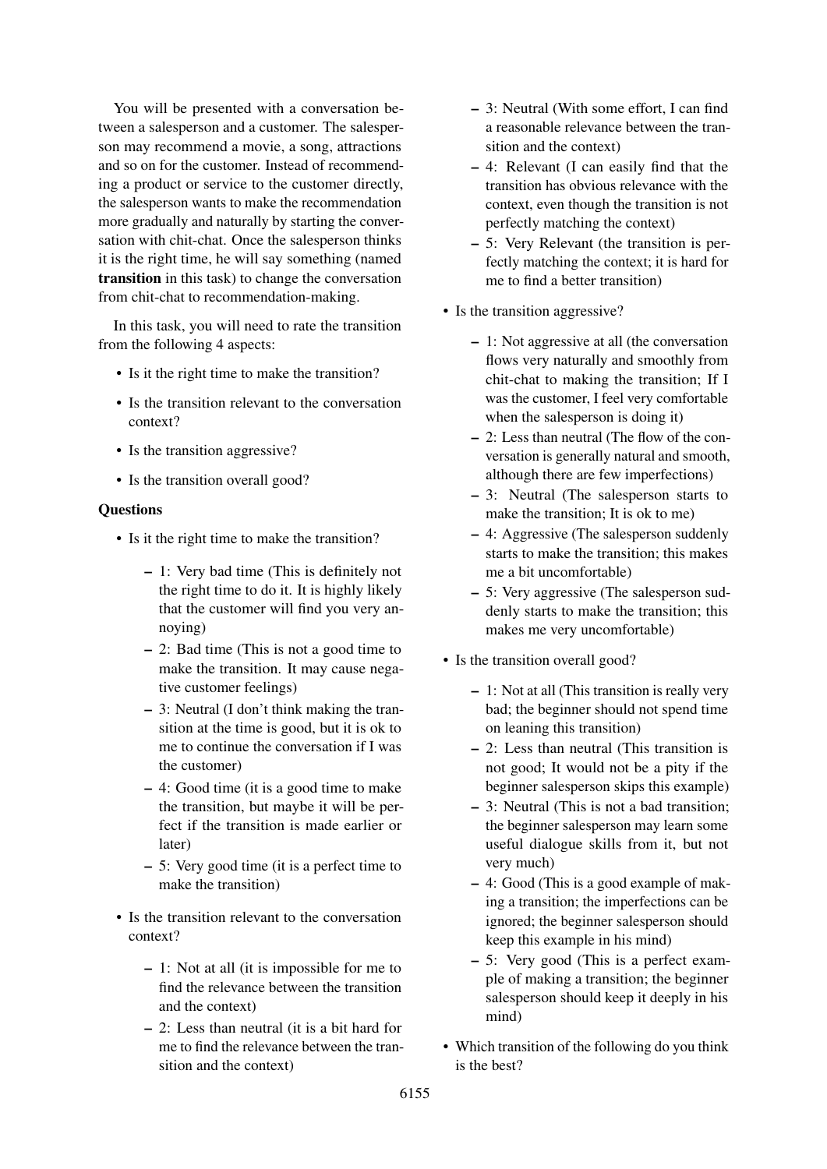You will be presented with a conversation between a salesperson and a customer. The salesperson may recommend a movie, a song, attractions and so on for the customer. Instead of recommending a product or service to the customer directly, the salesperson wants to make the recommendation more gradually and naturally by starting the conversation with chit-chat. Once the salesperson thinks it is the right time, he will say something (named transition in this task) to change the conversation from chit-chat to recommendation-making.

In this task, you will need to rate the transition from the following 4 aspects:

- Is it the right time to make the transition?
- Is the transition relevant to the conversation context?
- Is the transition aggressive?
- Is the transition overall good?

#### **Ouestions**

- Is it the right time to make the transition?
	- 1: Very bad time (This is definitely not the right time to do it. It is highly likely that the customer will find you very annoying)
	- 2: Bad time (This is not a good time to make the transition. It may cause negative customer feelings)
	- 3: Neutral (I don't think making the transition at the time is good, but it is ok to me to continue the conversation if I was the customer)
	- 4: Good time (it is a good time to make the transition, but maybe it will be perfect if the transition is made earlier or later)
	- 5: Very good time (it is a perfect time to make the transition)
- Is the transition relevant to the conversation context?
	- 1: Not at all (it is impossible for me to find the relevance between the transition and the context)
	- 2: Less than neutral (it is a bit hard for me to find the relevance between the transition and the context)
- 3: Neutral (With some effort, I can find a reasonable relevance between the transition and the context)
- 4: Relevant (I can easily find that the transition has obvious relevance with the context, even though the transition is not perfectly matching the context)
- 5: Very Relevant (the transition is perfectly matching the context; it is hard for me to find a better transition)
- Is the transition aggressive?
	- 1: Not aggressive at all (the conversation flows very naturally and smoothly from chit-chat to making the transition; If I was the customer, I feel very comfortable when the salesperson is doing it)
	- 2: Less than neutral (The flow of the conversation is generally natural and smooth, although there are few imperfections)
	- 3: Neutral (The salesperson starts to make the transition; It is ok to me)
	- 4: Aggressive (The salesperson suddenly starts to make the transition; this makes me a bit uncomfortable)
	- 5: Very aggressive (The salesperson suddenly starts to make the transition; this makes me very uncomfortable)
- Is the transition overall good?
	- 1: Not at all (This transition is really very bad; the beginner should not spend time on leaning this transition)
	- 2: Less than neutral (This transition is not good; It would not be a pity if the beginner salesperson skips this example)
	- 3: Neutral (This is not a bad transition; the beginner salesperson may learn some useful dialogue skills from it, but not very much)
	- 4: Good (This is a good example of making a transition; the imperfections can be ignored; the beginner salesperson should keep this example in his mind)
	- 5: Very good (This is a perfect example of making a transition; the beginner salesperson should keep it deeply in his mind)
- Which transition of the following do you think is the best?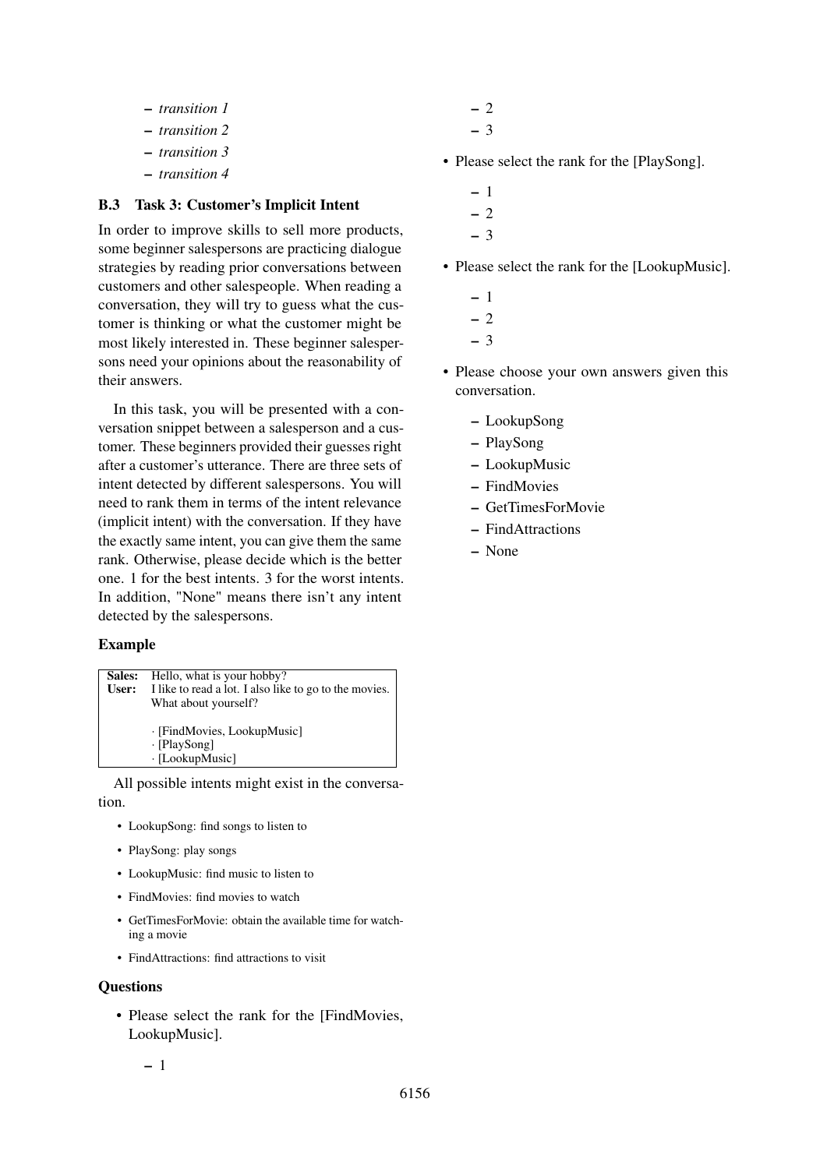- *transition 1*
- *transition 2*
- *transition 3*
- *transition 4*

#### B.3 Task 3: Customer's Implicit Intent

In order to improve skills to sell more products, some beginner salespersons are practicing dialogue strategies by reading prior conversations between customers and other salespeople. When reading a conversation, they will try to guess what the customer is thinking or what the customer might be most likely interested in. These beginner salespersons need your opinions about the reasonability of their answers.

In this task, you will be presented with a conversation snippet between a salesperson and a customer. These beginners provided their guesses right after a customer's utterance. There are three sets of intent detected by different salespersons. You will need to rank them in terms of the intent relevance (implicit intent) with the conversation. If they have the exactly same intent, you can give them the same rank. Otherwise, please decide which is the better one. 1 for the best intents. 3 for the worst intents. In addition, "None" means there isn't any intent detected by the salespersons.

#### Example

|       | <b>Sales:</b> Hello, what is your hobby?               |
|-------|--------------------------------------------------------|
| User: | I like to read a lot. I also like to go to the movies. |
|       | What about yourself?                                   |
|       |                                                        |
|       | · [FindMovies, LookupMusic]                            |
|       | · [PlaySong]                                           |
|       | · [LookupMusic]                                        |

All possible intents might exist in the conversation.

- LookupSong: find songs to listen to
- PlaySong: play songs
- LookupMusic: find music to listen to
- FindMovies: find movies to watch
- GetTimesForMovie: obtain the available time for watching a movie
- FindAttractions: find attractions to visit

## **Ouestions**

• Please select the rank for the [FindMovies, LookupMusic].

- 2 – 3
- Please select the rank for the [PlaySong].
	- 1 – 2 – 3
- Please select the rank for the [LookupMusic].
	- 1 – 2
	- 3
- Please choose your own answers given this conversation.
	- LookupSong
	- PlaySong
	- LookupMusic
	- FindMovies
	- GetTimesForMovie
	- FindAttractions
	- None

– 1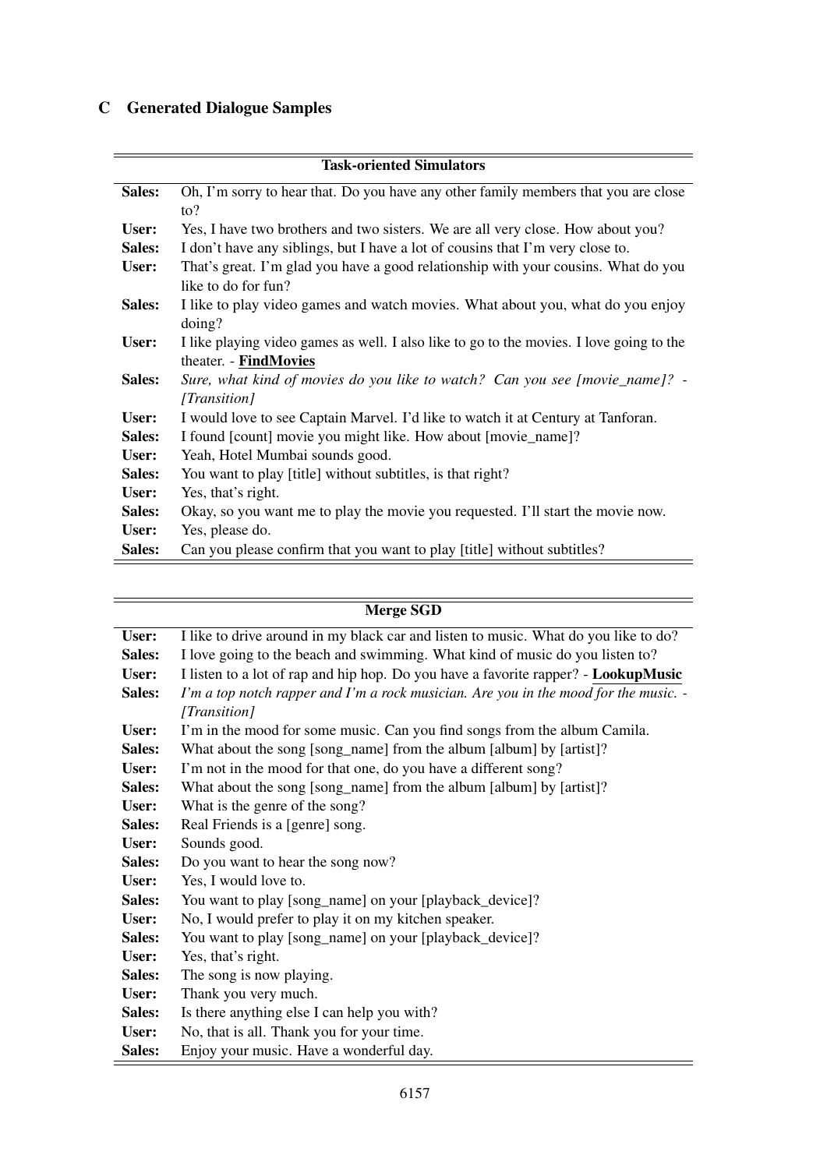# C Generated Dialogue Samples

| <b>Task-oriented Simulators</b> |                                                                                          |  |
|---------------------------------|------------------------------------------------------------------------------------------|--|
| Sales:                          | Oh, I'm sorry to hear that. Do you have any other family members that you are close      |  |
|                                 | $\mathfrak{to}?$                                                                         |  |
| User:                           | Yes, I have two brothers and two sisters. We are all very close. How about you?          |  |
| Sales:                          | I don't have any siblings, but I have a lot of cousins that I'm very close to.           |  |
| User:                           | That's great. I'm glad you have a good relationship with your cousins. What do you       |  |
|                                 | like to do for fun?                                                                      |  |
| Sales:                          | I like to play video games and watch movies. What about you, what do you enjoy           |  |
|                                 | $\text{doing?}$                                                                          |  |
| User:                           | I like playing video games as well. I also like to go to the movies. I love going to the |  |
|                                 | theater. - FindMovies                                                                    |  |
| Sales:                          | Sure, what kind of movies do you like to watch? Can you see [movie_name]? -              |  |
|                                 | [Transition]                                                                             |  |
| User:                           | I would love to see Captain Marvel. I'd like to watch it at Century at Tanforan.         |  |
| Sales:                          | I found [count] movie you might like. How about [movie_name]?                            |  |
| User:                           | Yeah, Hotel Mumbai sounds good.                                                          |  |
| Sales:                          | You want to play [title] without subtitles, is that right?                               |  |
| User:                           | Yes, that's right.                                                                       |  |
| Sales:                          | Okay, so you want me to play the movie you requested. I'll start the movie now.          |  |
| User:                           | Yes, please do.                                                                          |  |
| Sales:                          | Can you please confirm that you want to play [title] without subtitles?                  |  |

|        | <b>Merge SGD</b>                                                                     |
|--------|--------------------------------------------------------------------------------------|
| User:  | I like to drive around in my black car and listen to music. What do you like to do?  |
| Sales: | I love going to the beach and swimming. What kind of music do you listen to?         |
| User:  | I listen to a lot of rap and hip hop. Do you have a favorite rapper? - LookupMusic   |
| Sales: | I'm a top notch rapper and I'm a rock musician. Are you in the mood for the music. - |
|        | [Transition]                                                                         |
| User:  | I'm in the mood for some music. Can you find songs from the album Camila.            |
| Sales: | What about the song [song_name] from the album [album] by [artist]?                  |
| User:  | I'm not in the mood for that one, do you have a different song?                      |
| Sales: | What about the song [song_name] from the album [album] by [artist]?                  |
| User:  | What is the genre of the song?                                                       |
| Sales: | Real Friends is a [genre] song.                                                      |
| User:  | Sounds good.                                                                         |
| Sales: | Do you want to hear the song now?                                                    |
| User:  | Yes, I would love to.                                                                |
| Sales: | You want to play [song_name] on your [playback_device]?                              |
| User:  | No, I would prefer to play it on my kitchen speaker.                                 |
| Sales: | You want to play [song_name] on your [playback_device]?                              |
| User:  | Yes, that's right.                                                                   |
| Sales: | The song is now playing.                                                             |
| User:  | Thank you very much.                                                                 |
| Sales: | Is there anything else I can help you with?                                          |
| User:  | No, that is all. Thank you for your time.                                            |
| Sales: | Enjoy your music. Have a wonderful day.                                              |

-